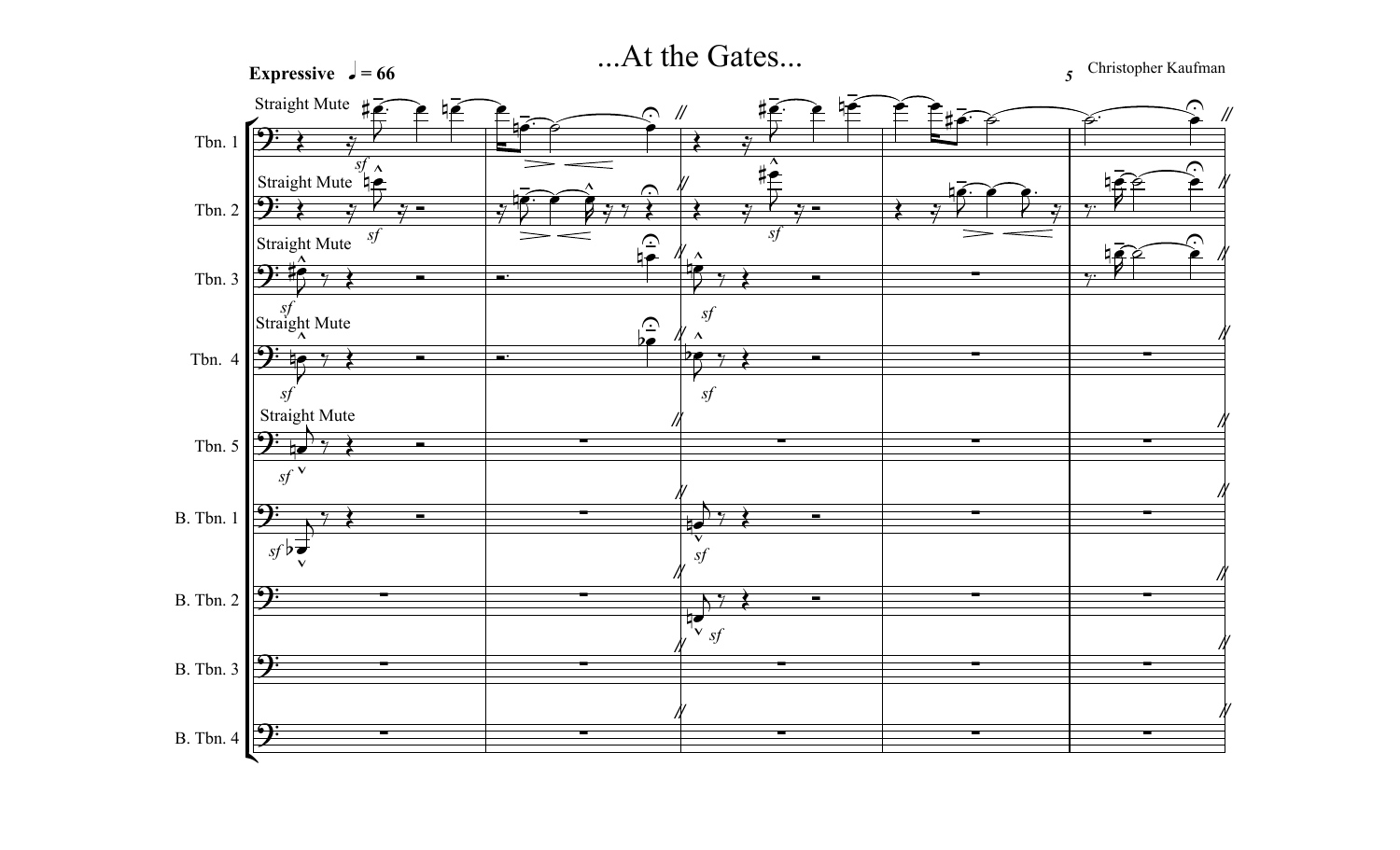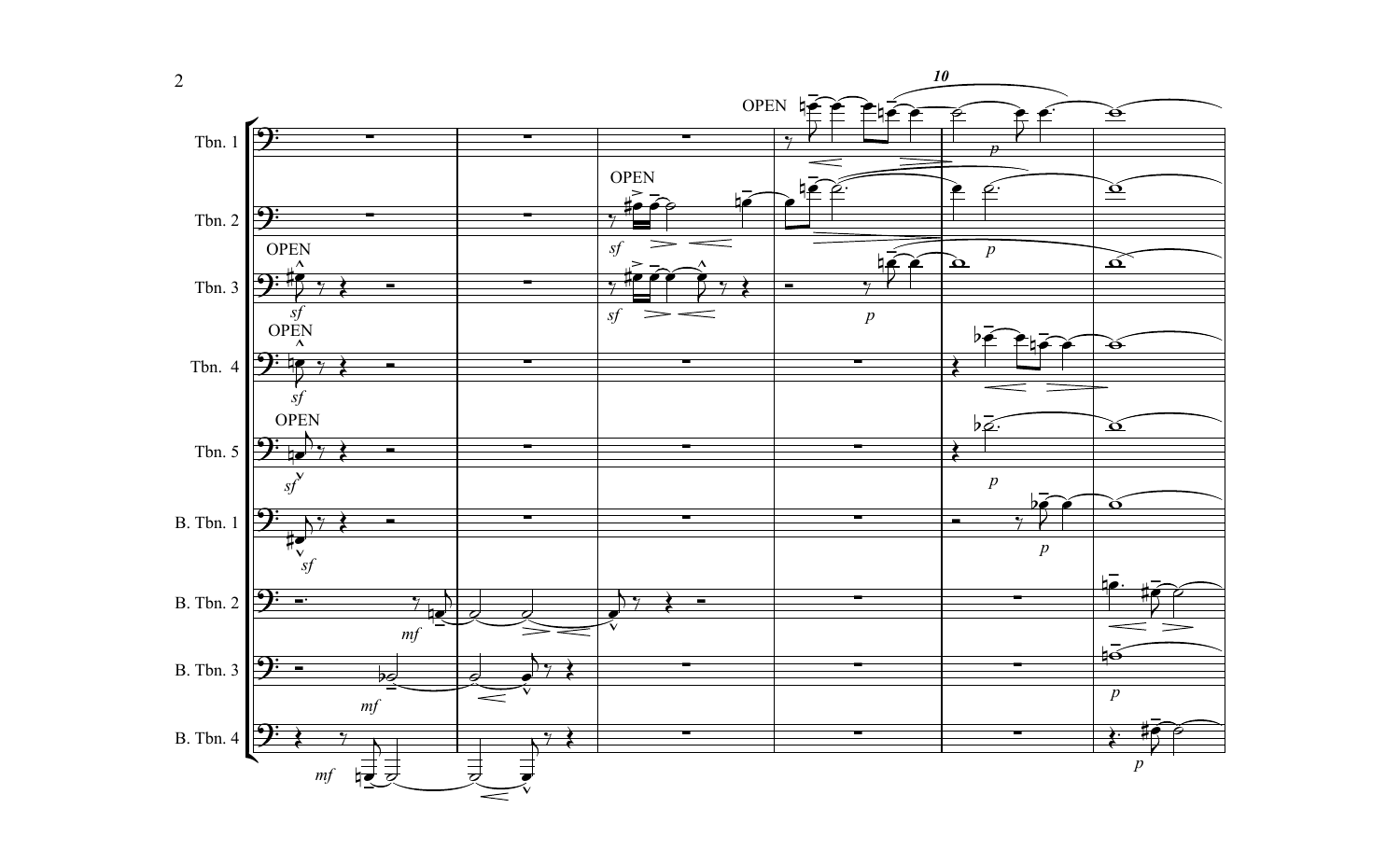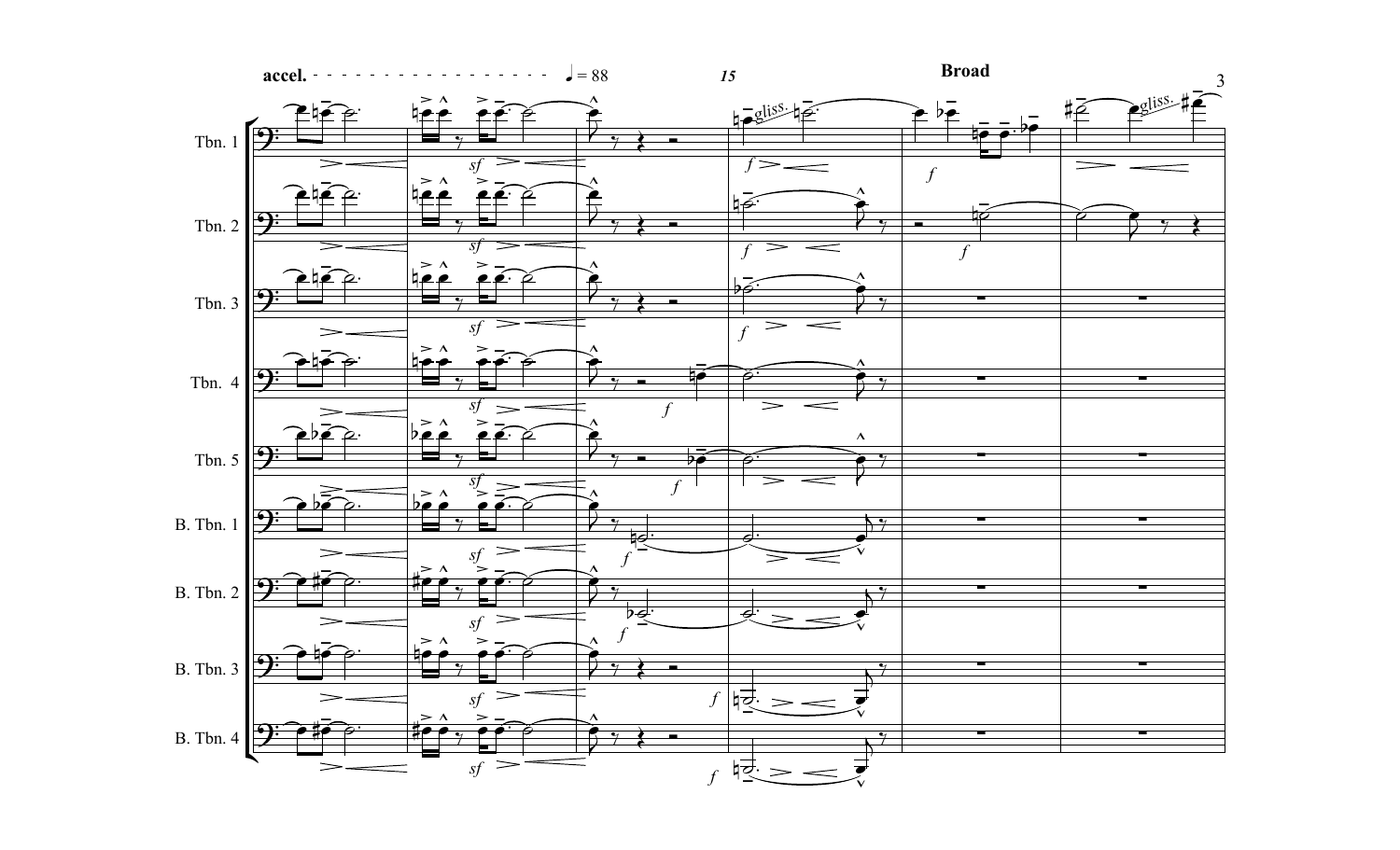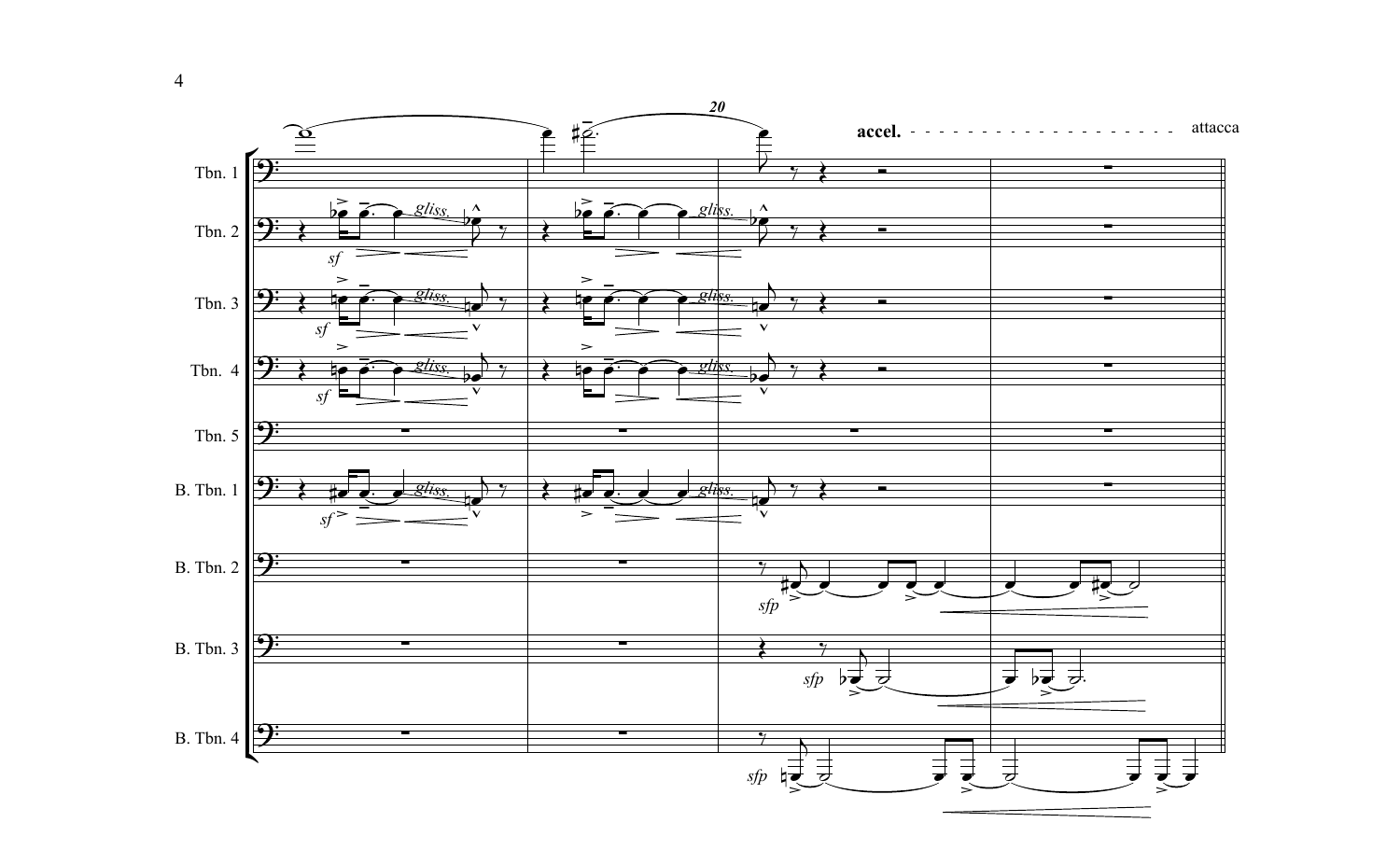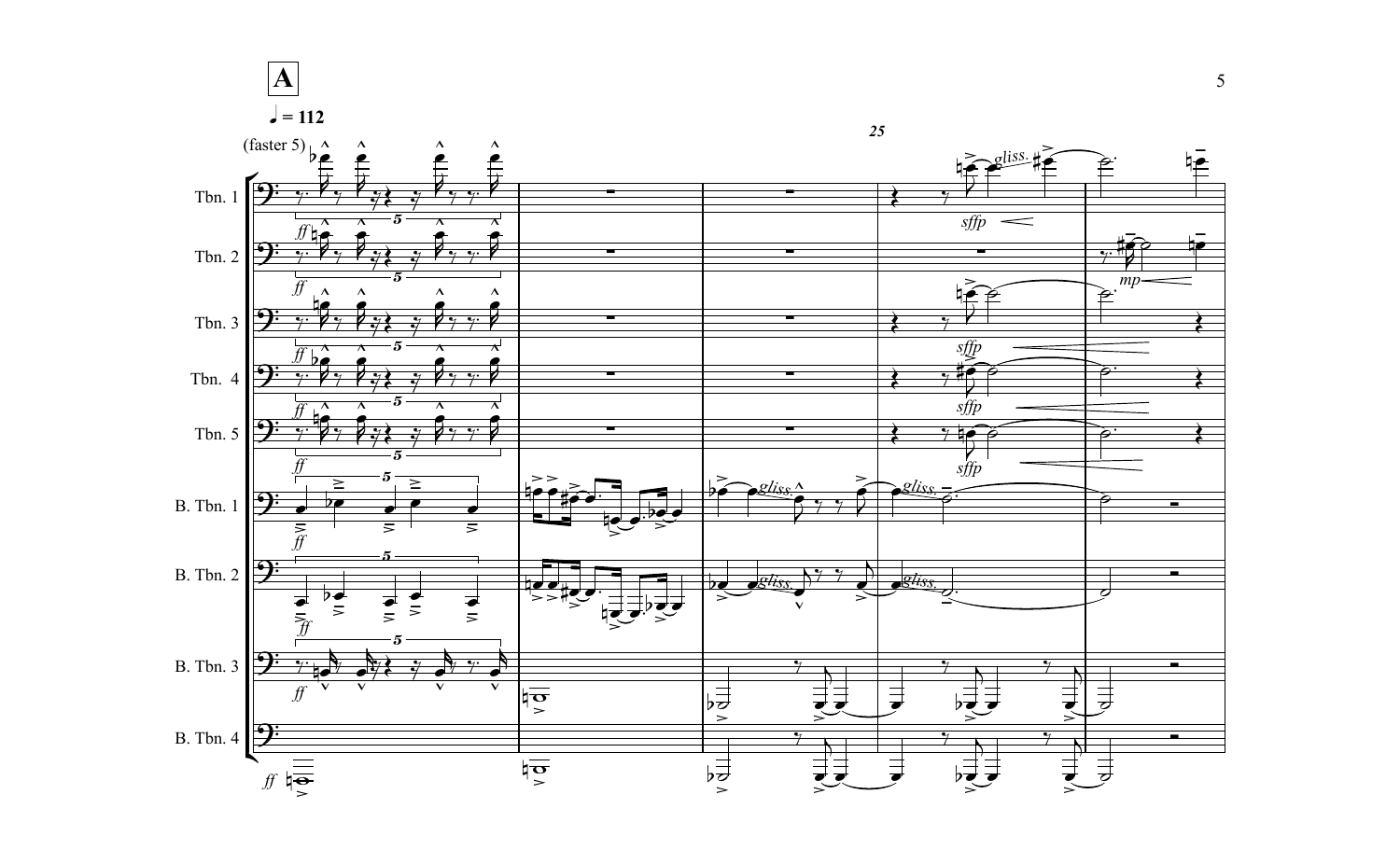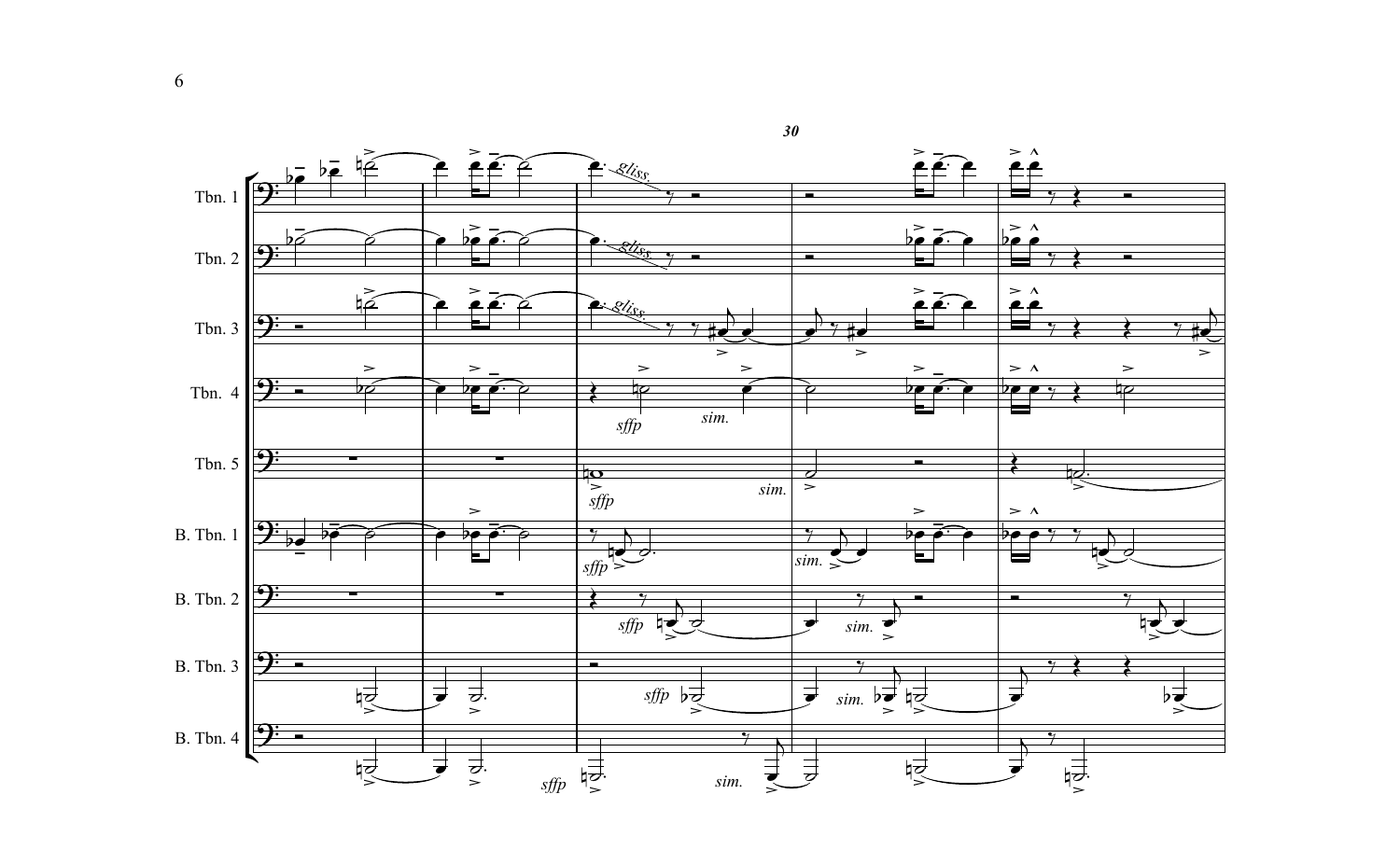

6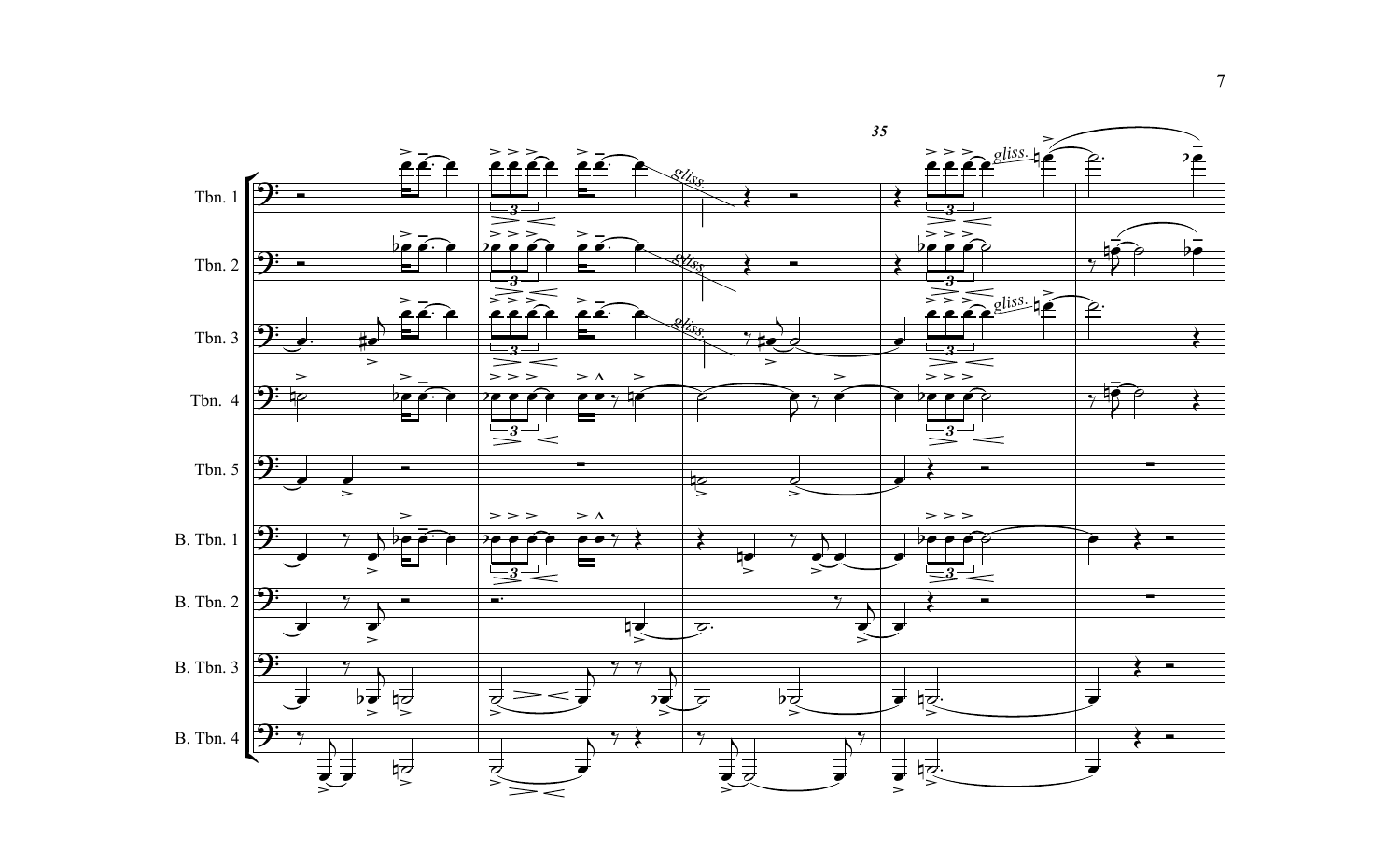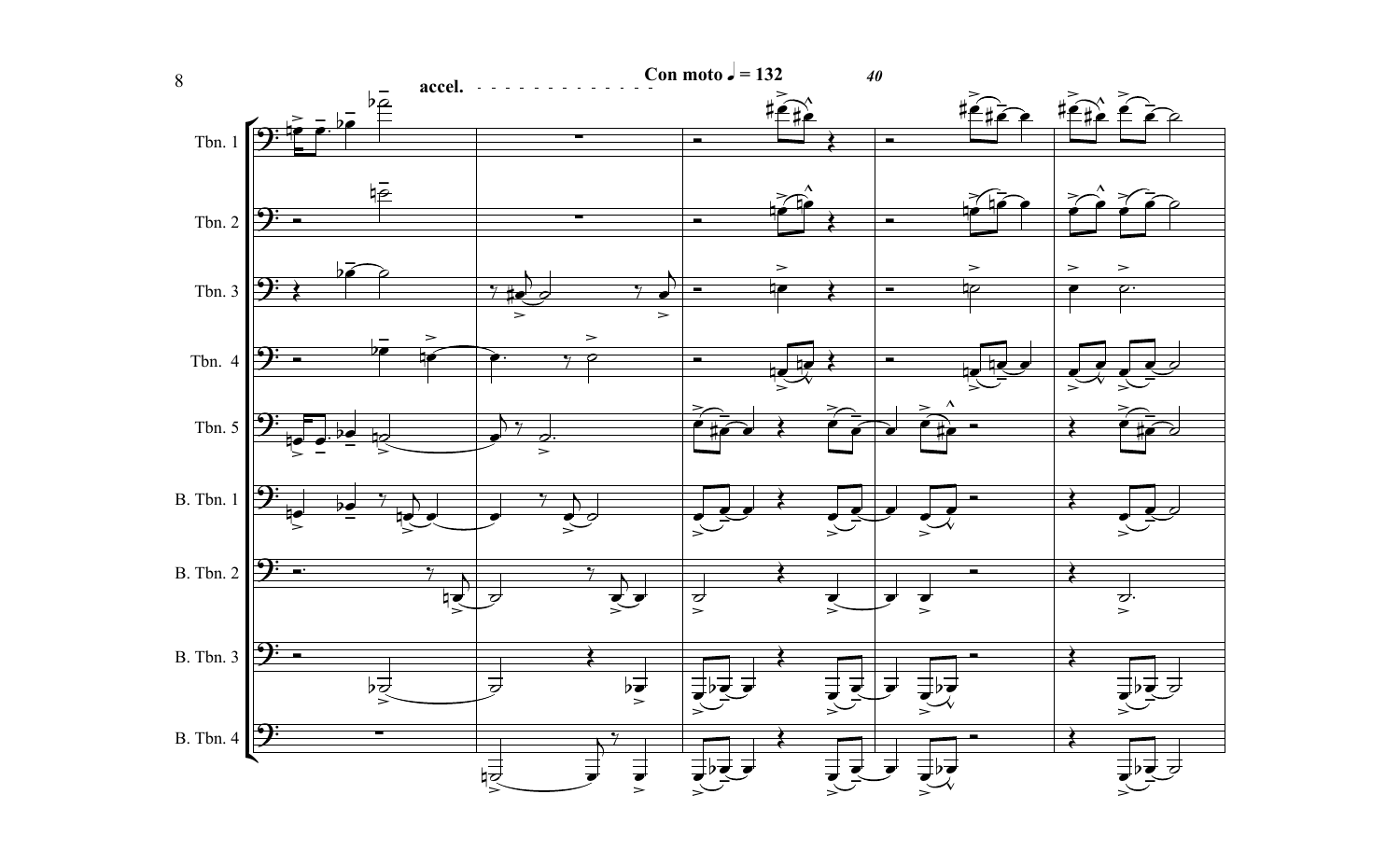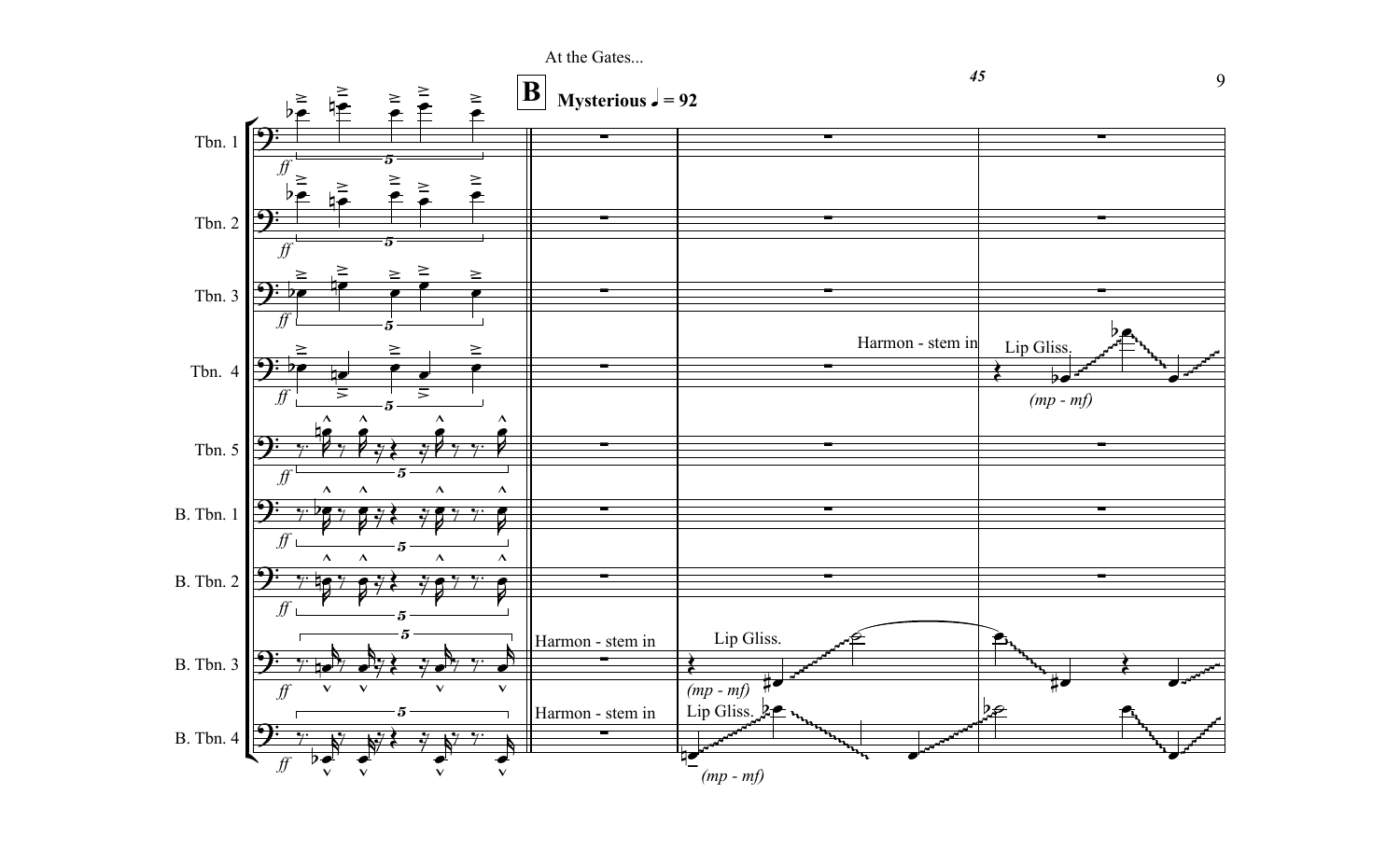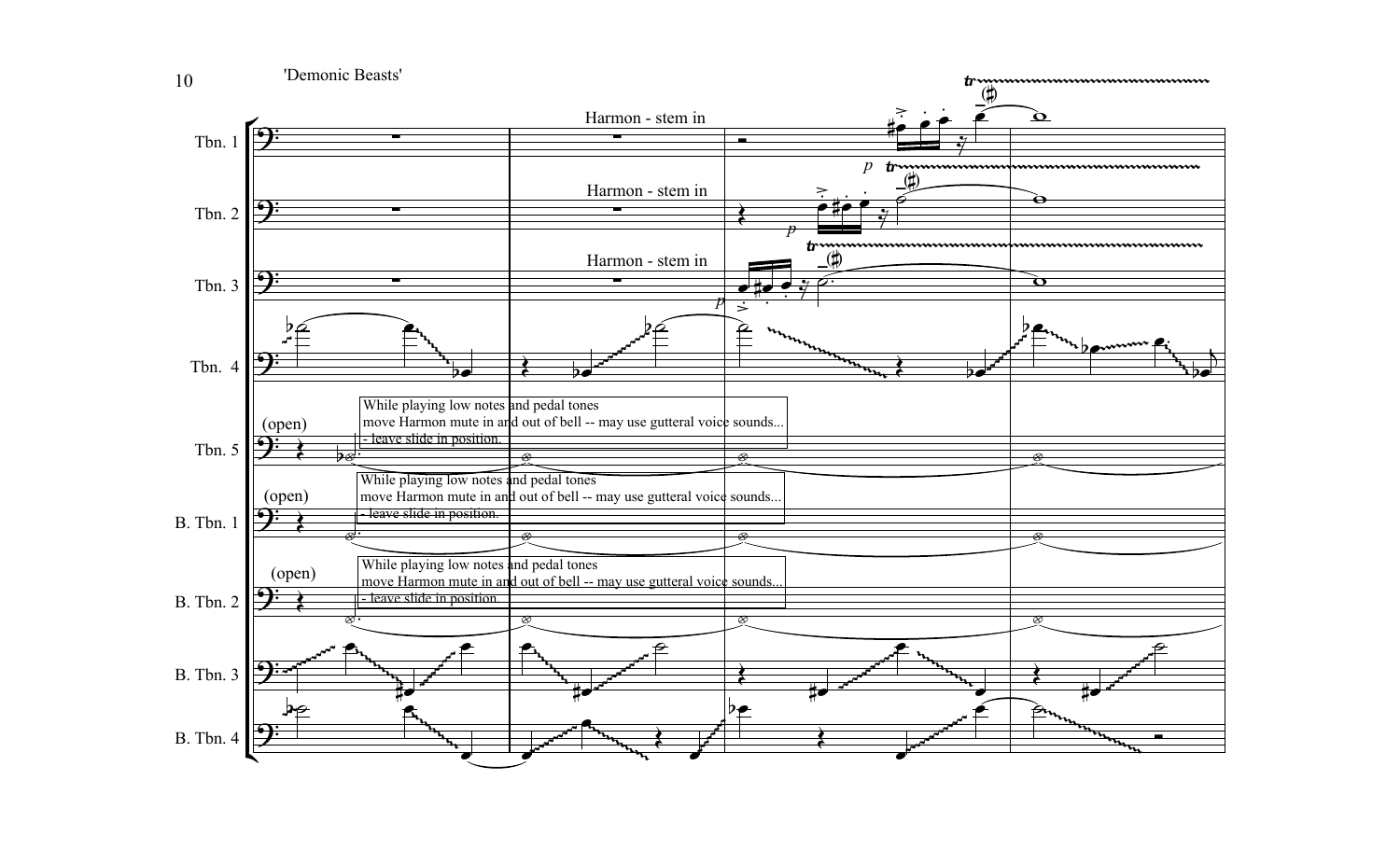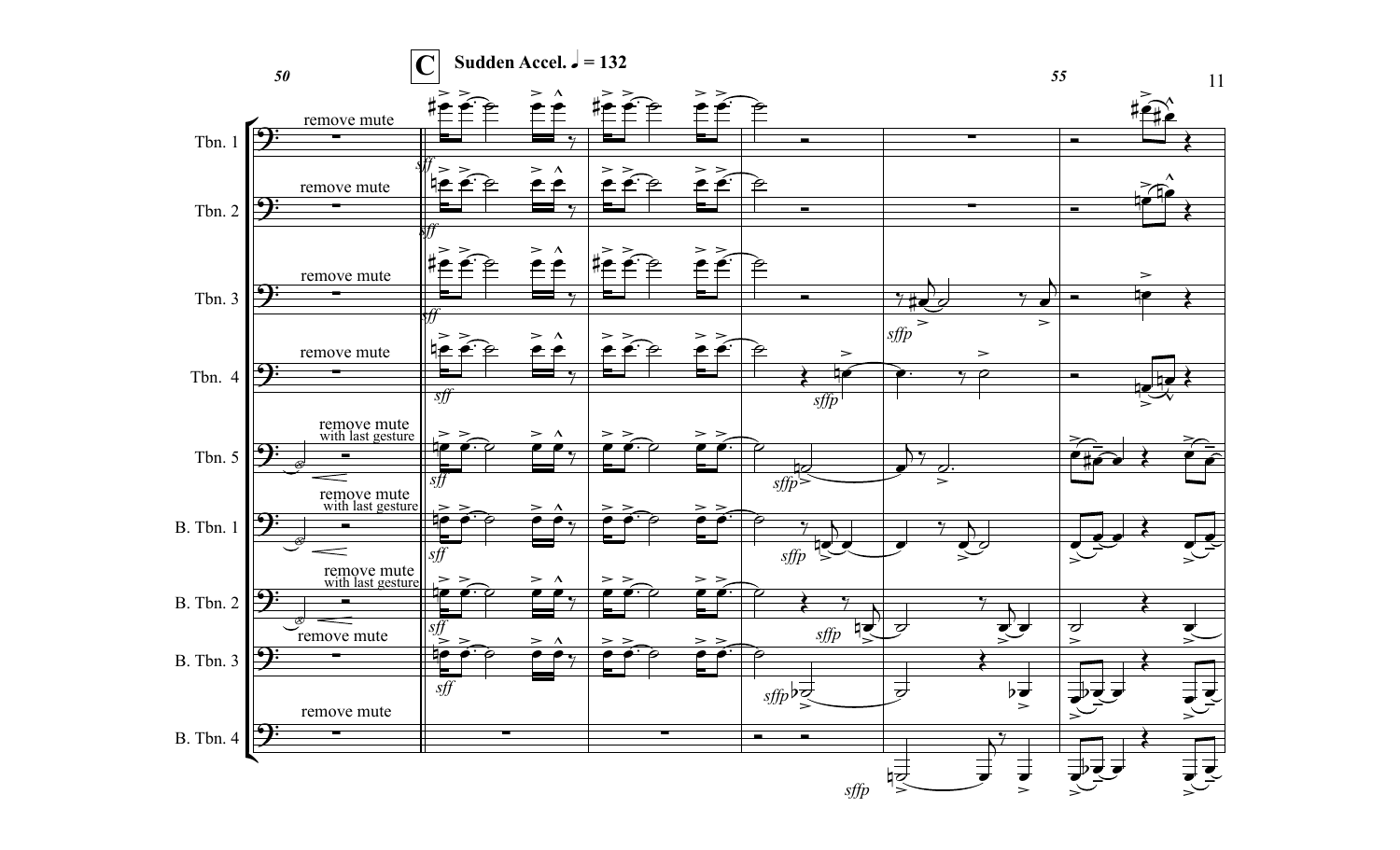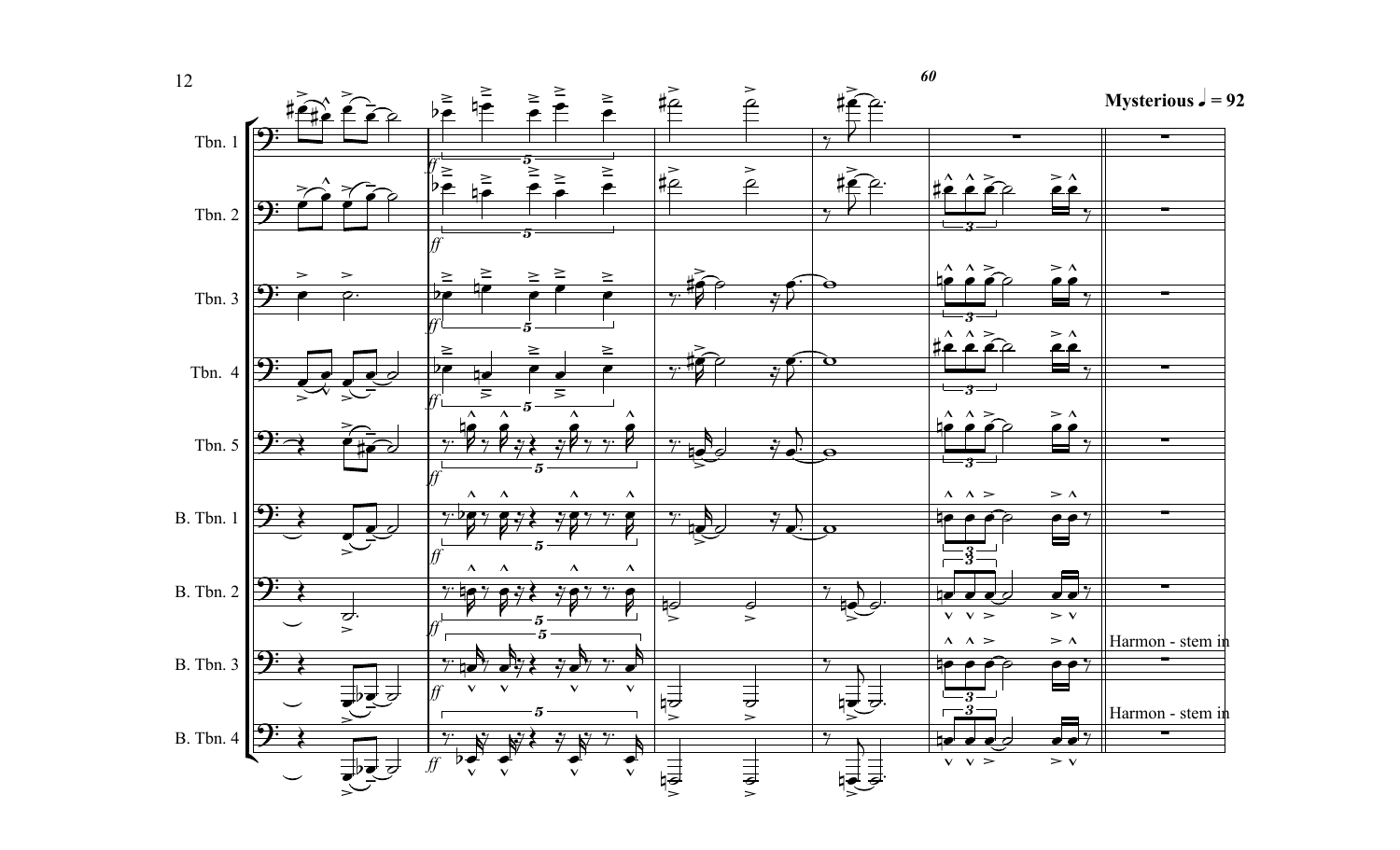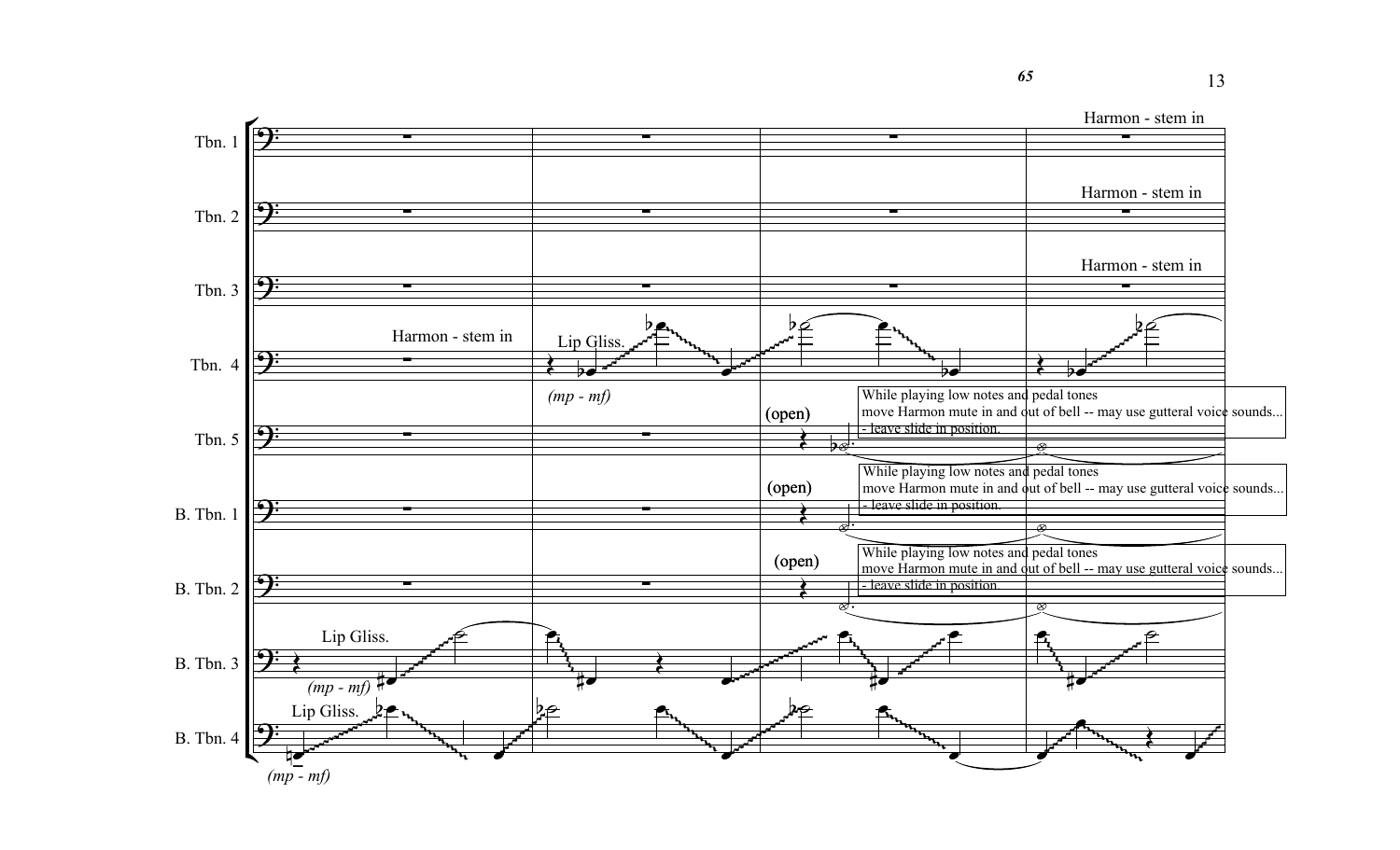*65*

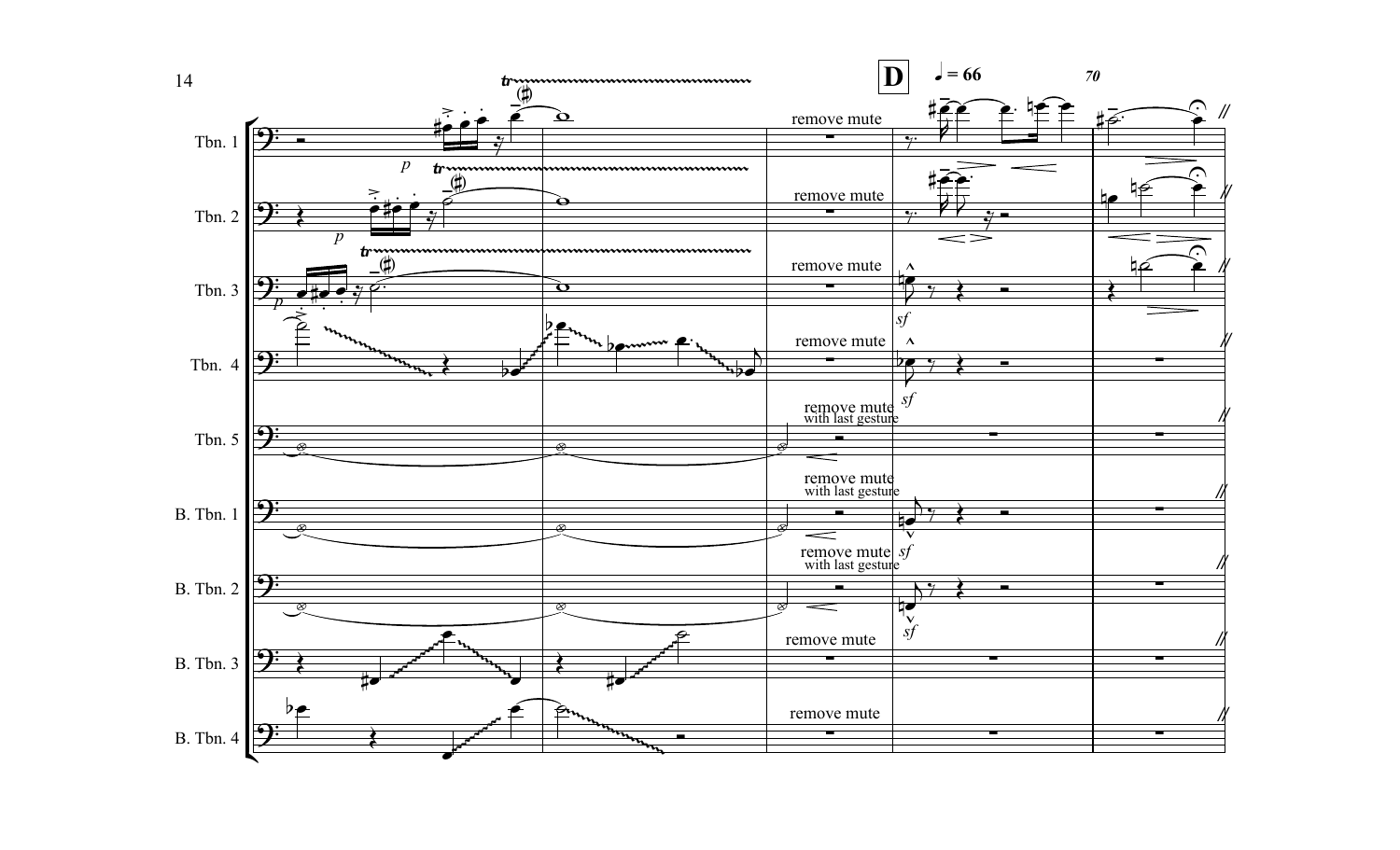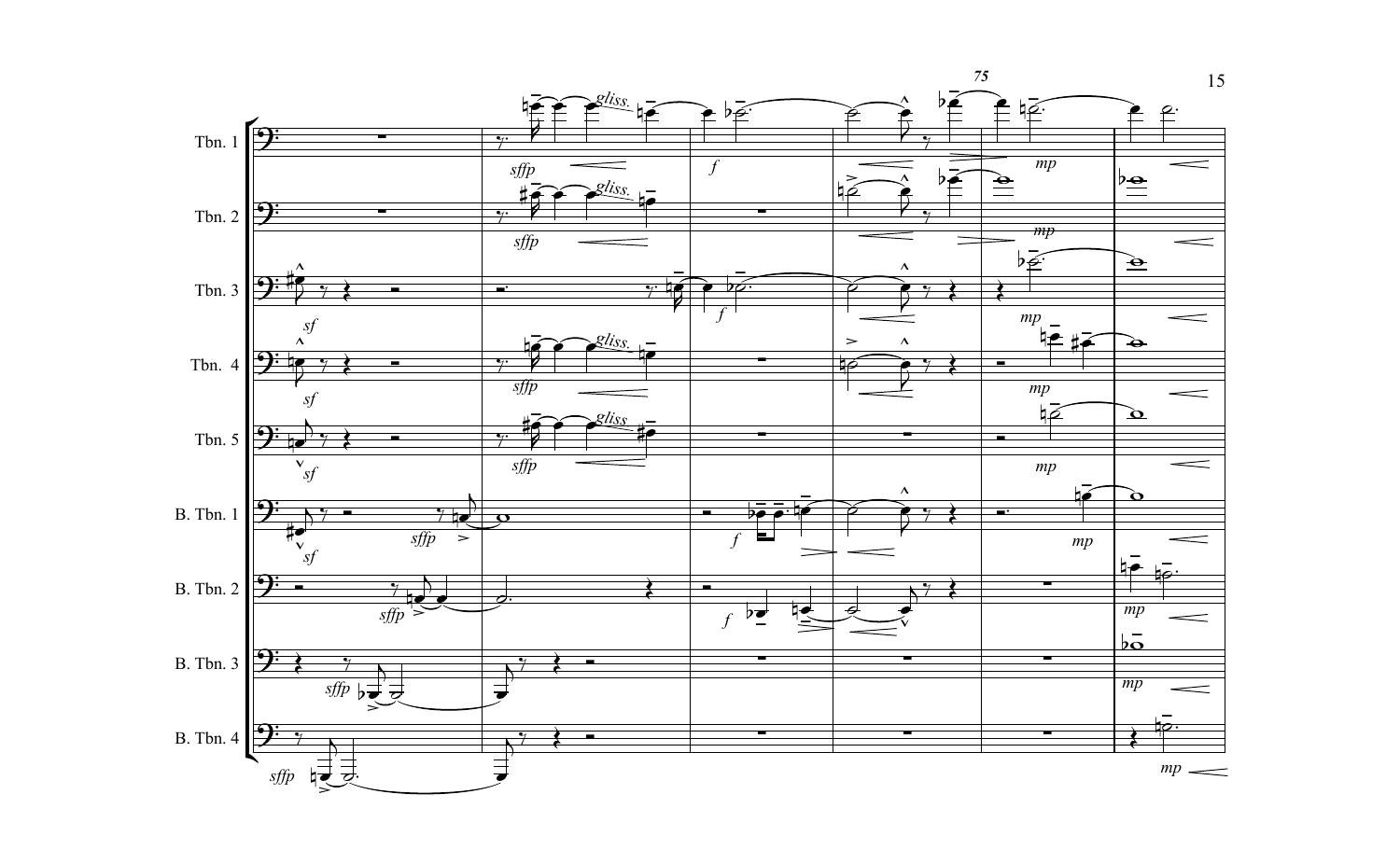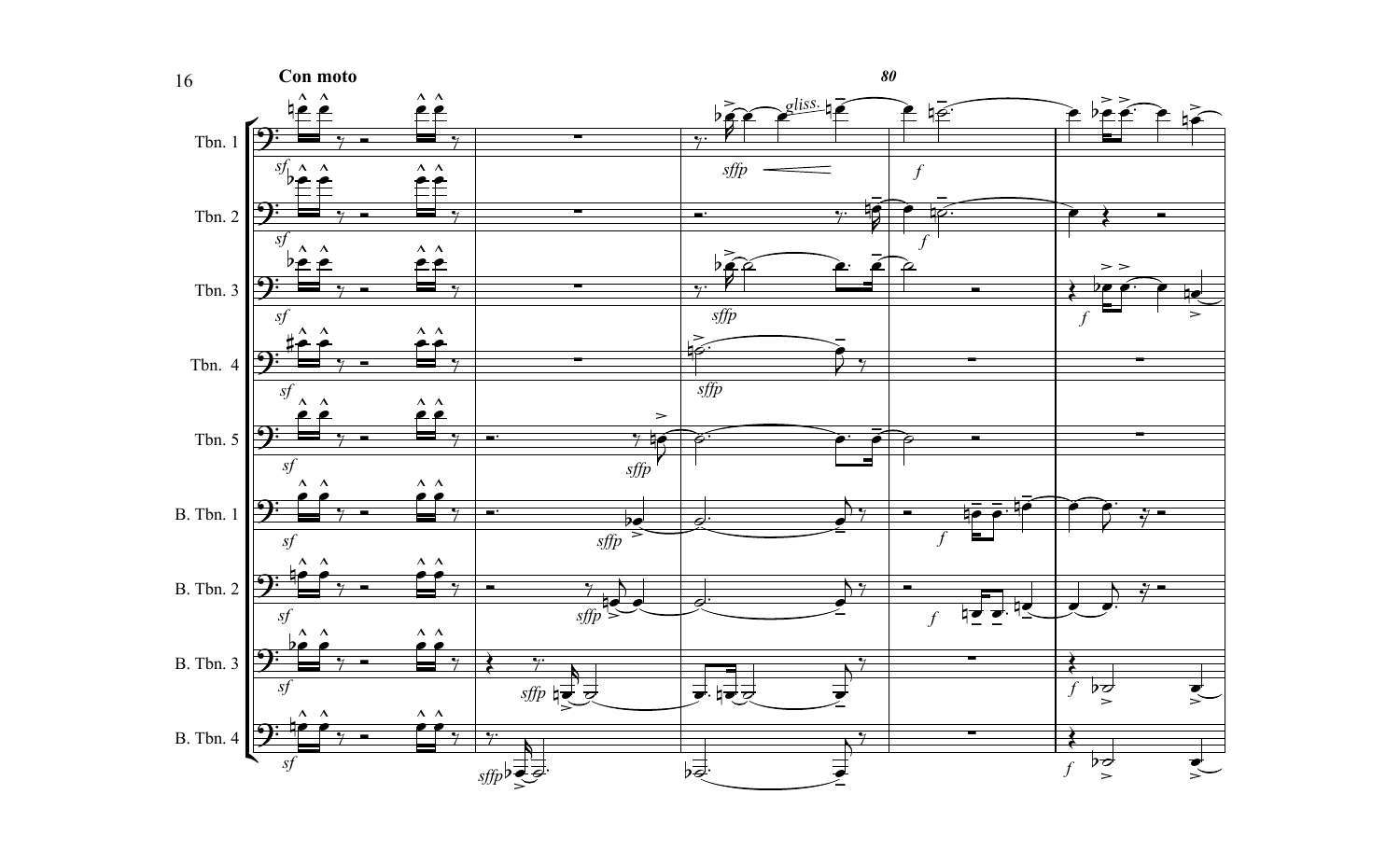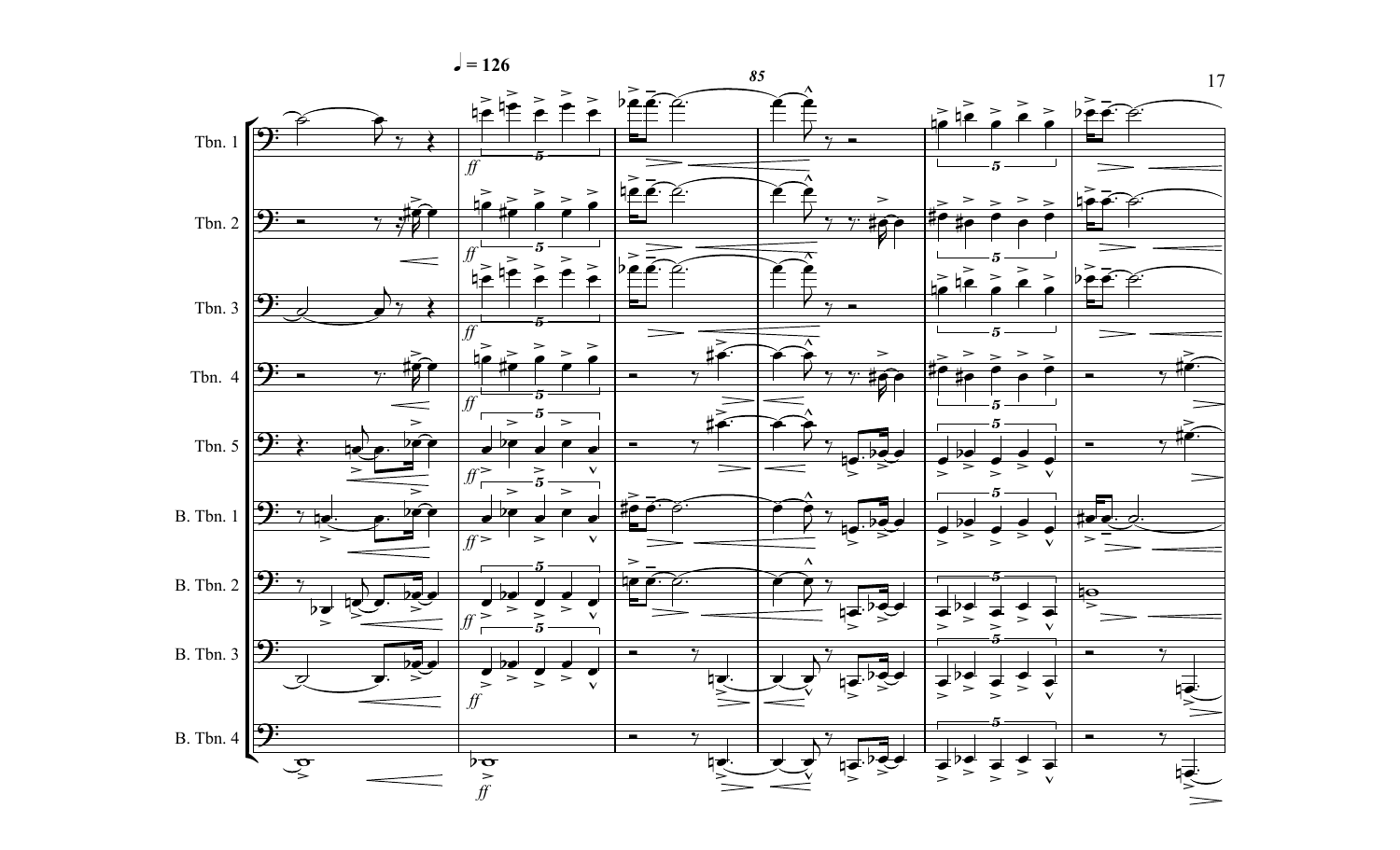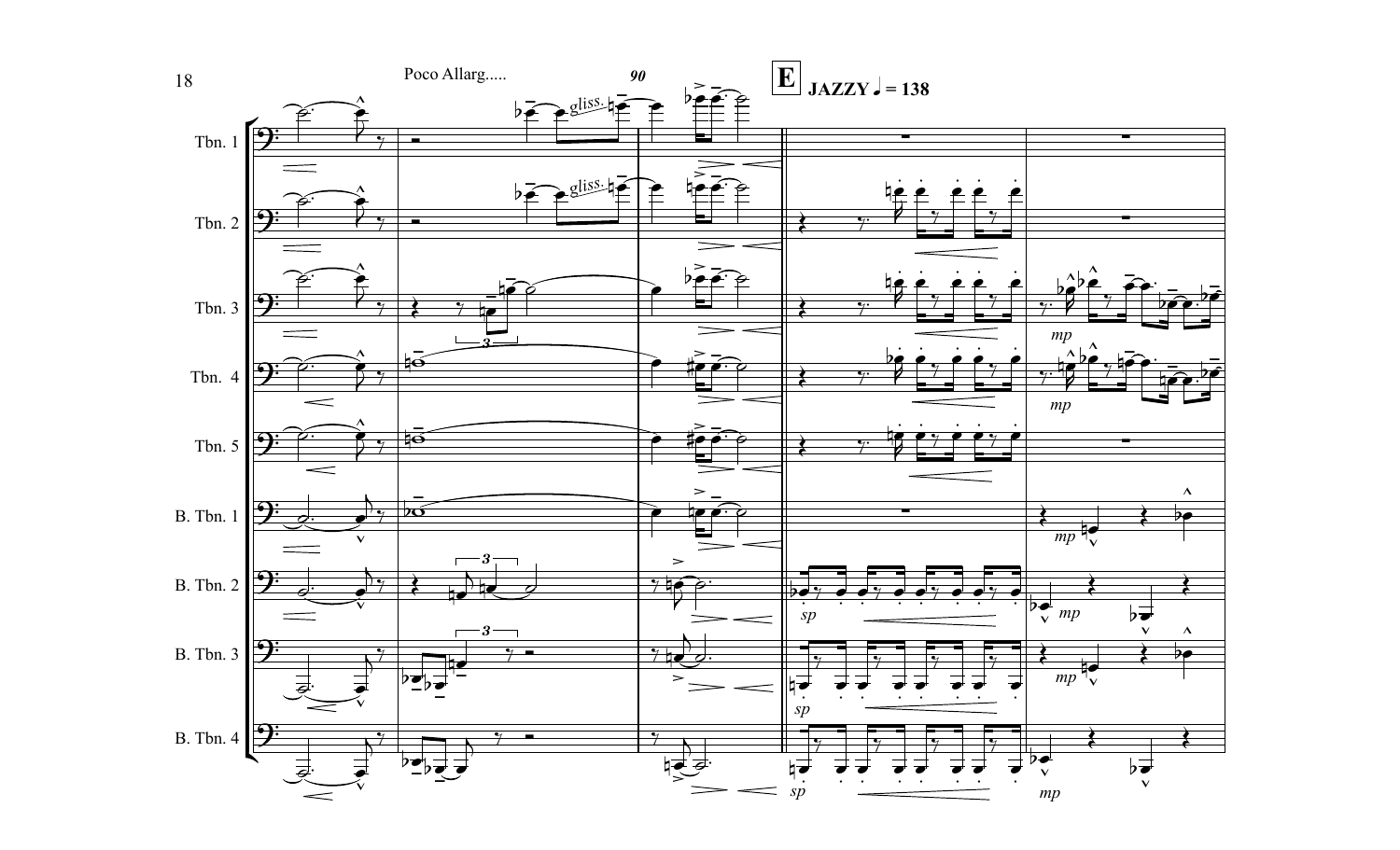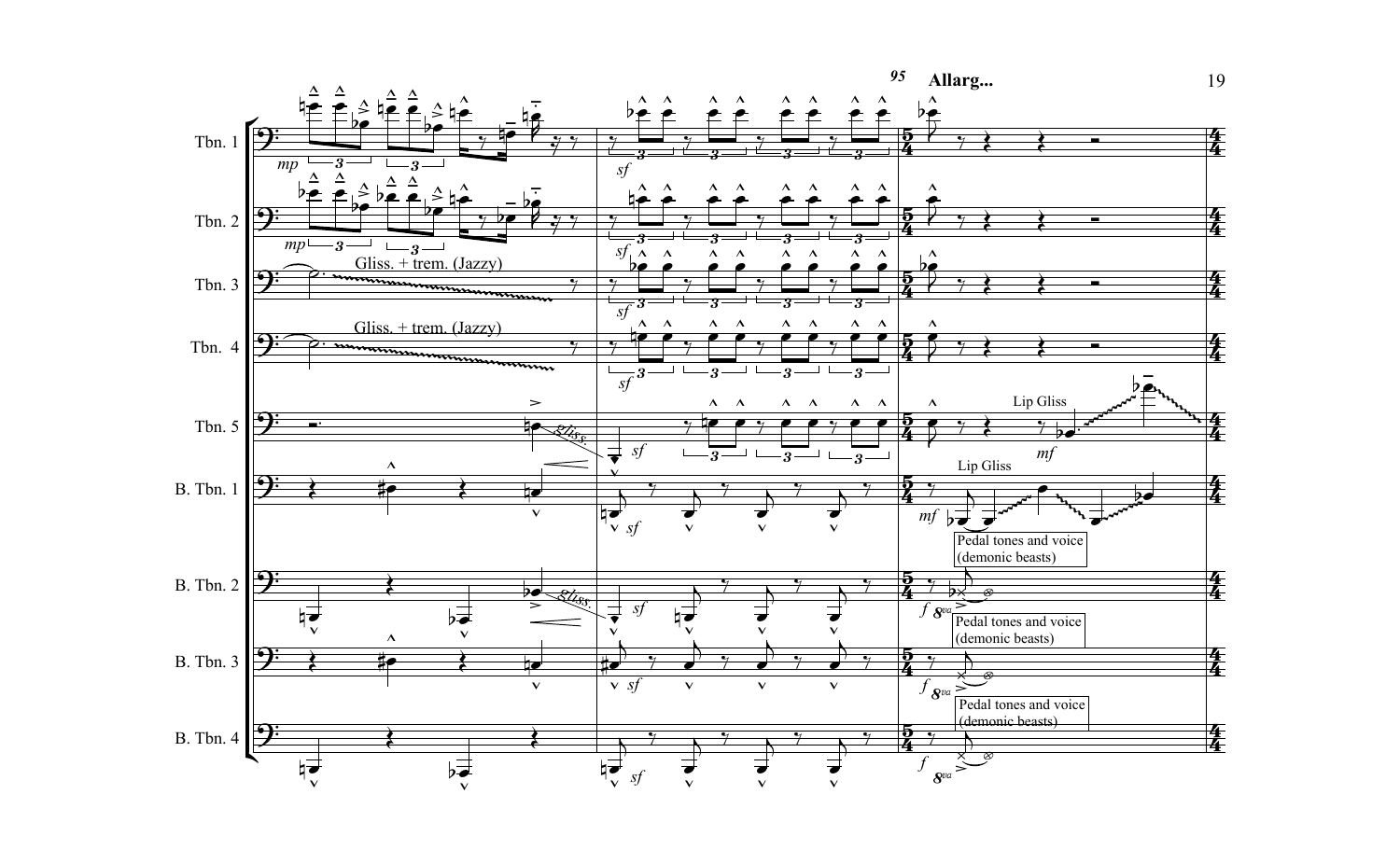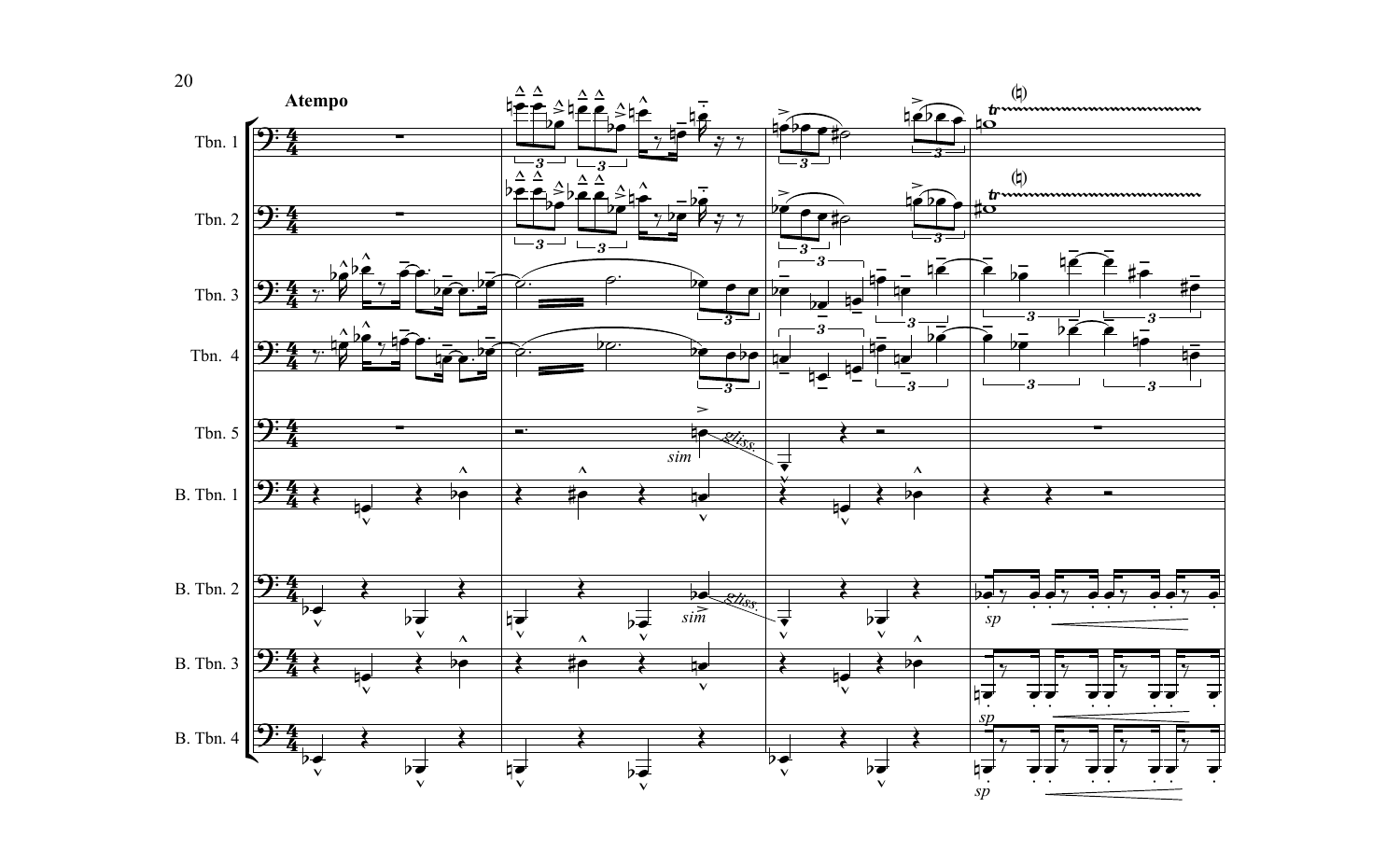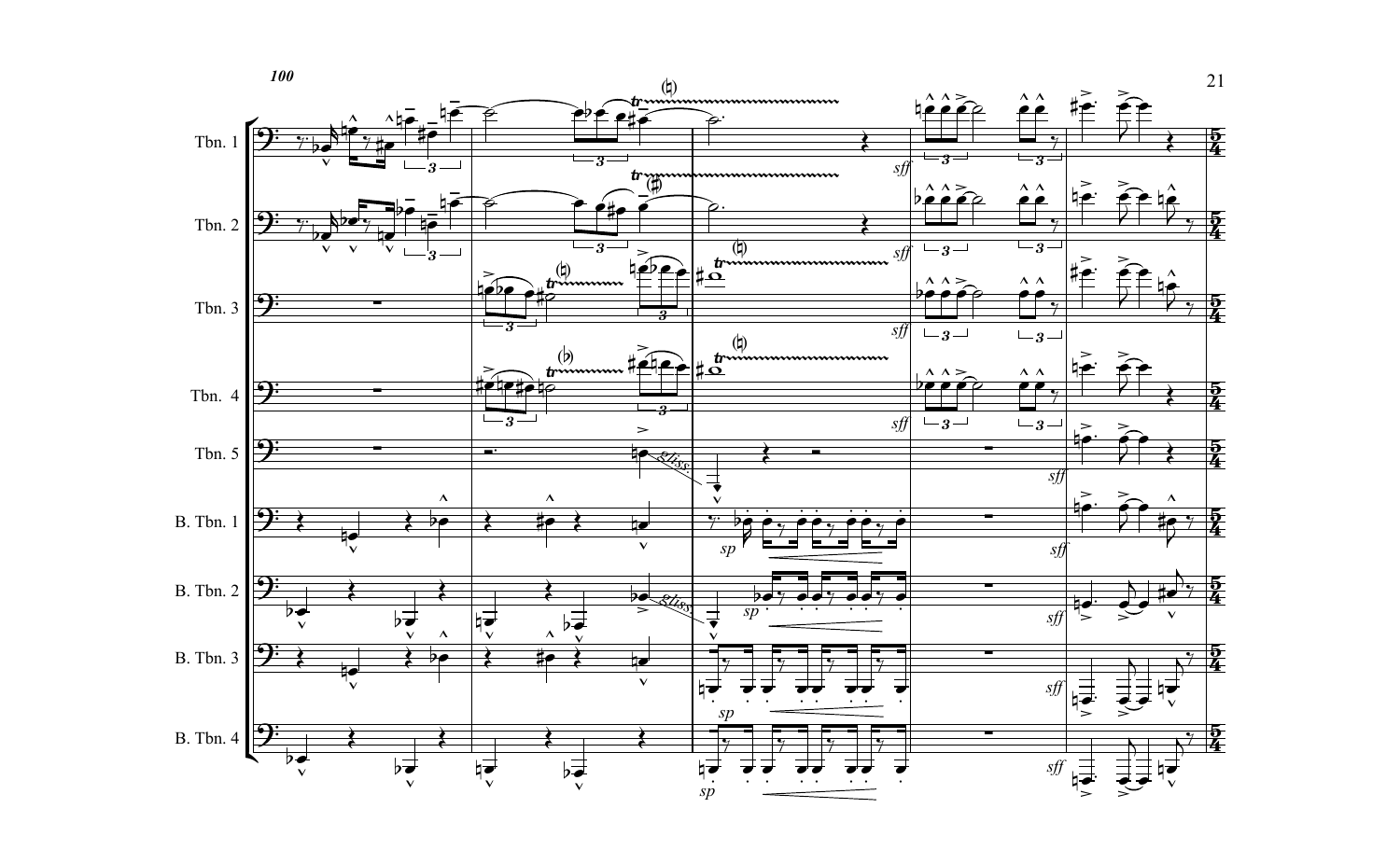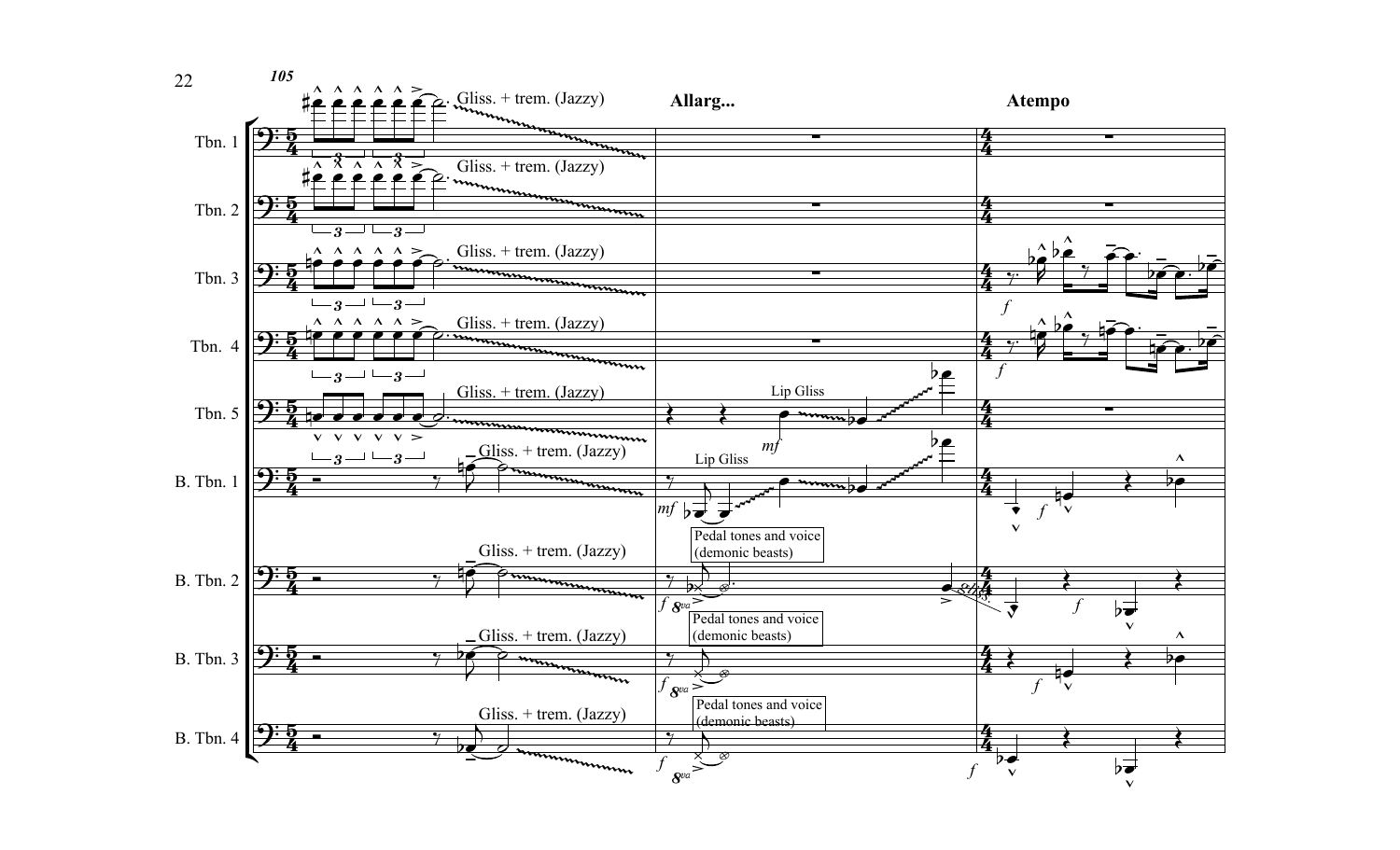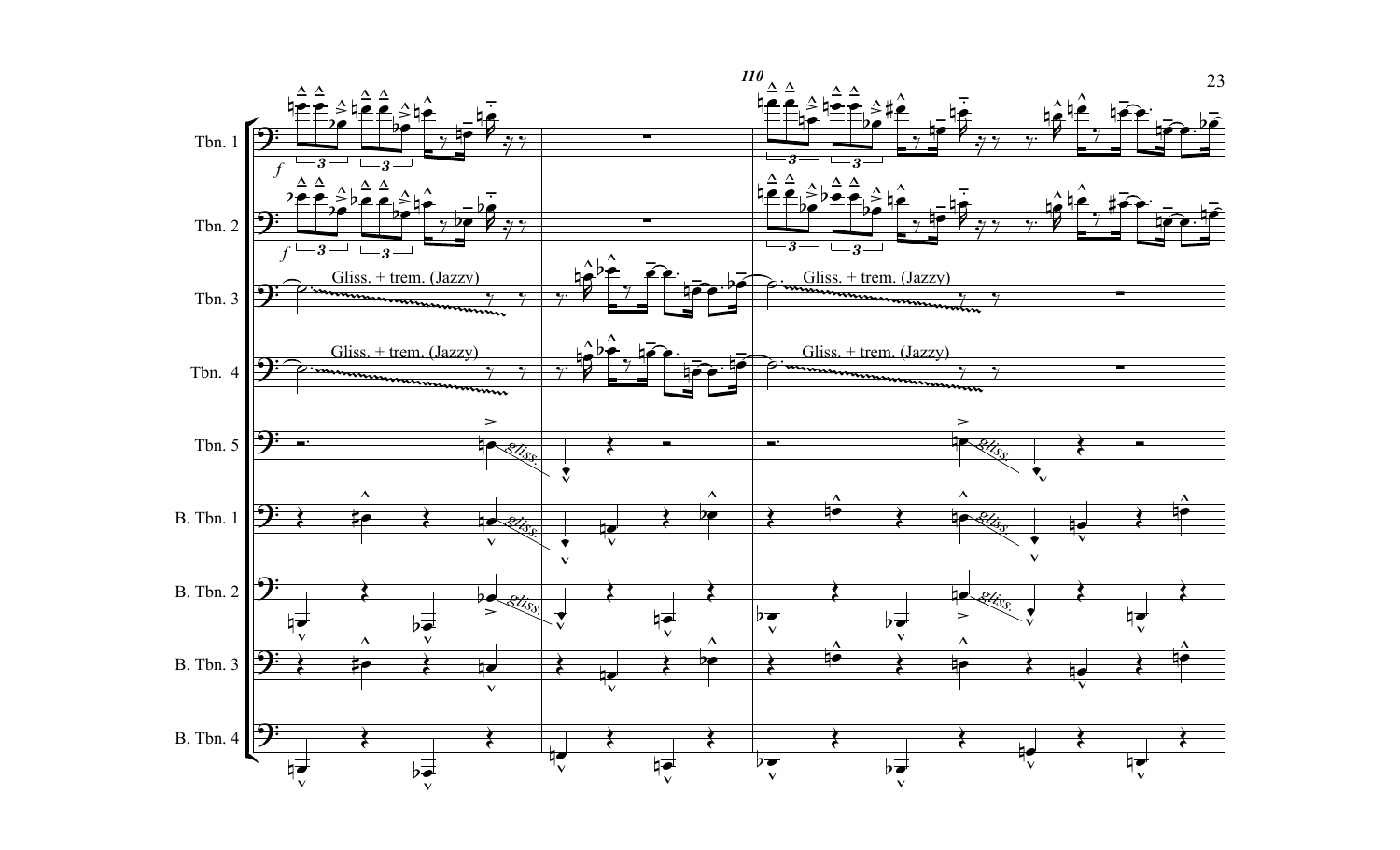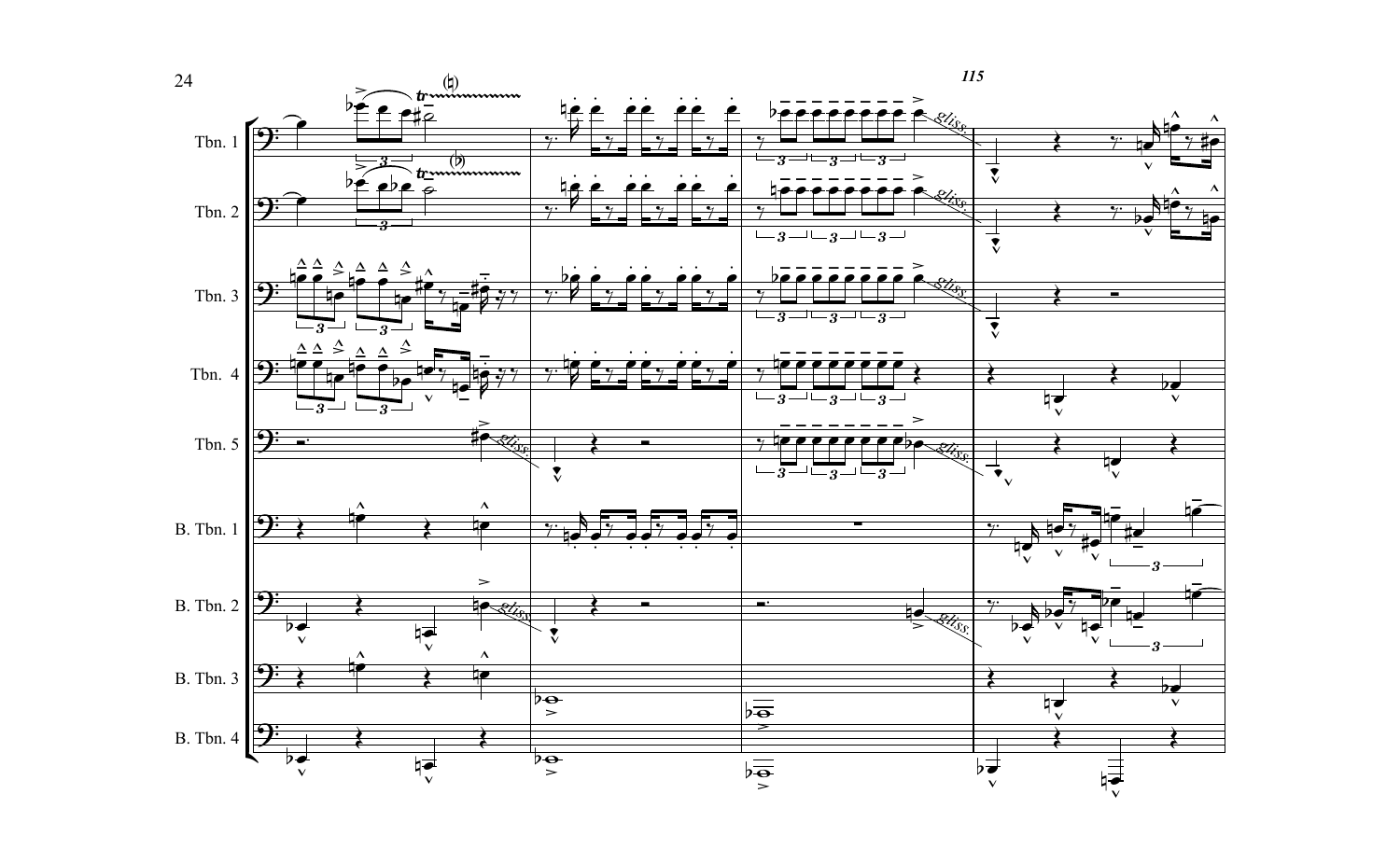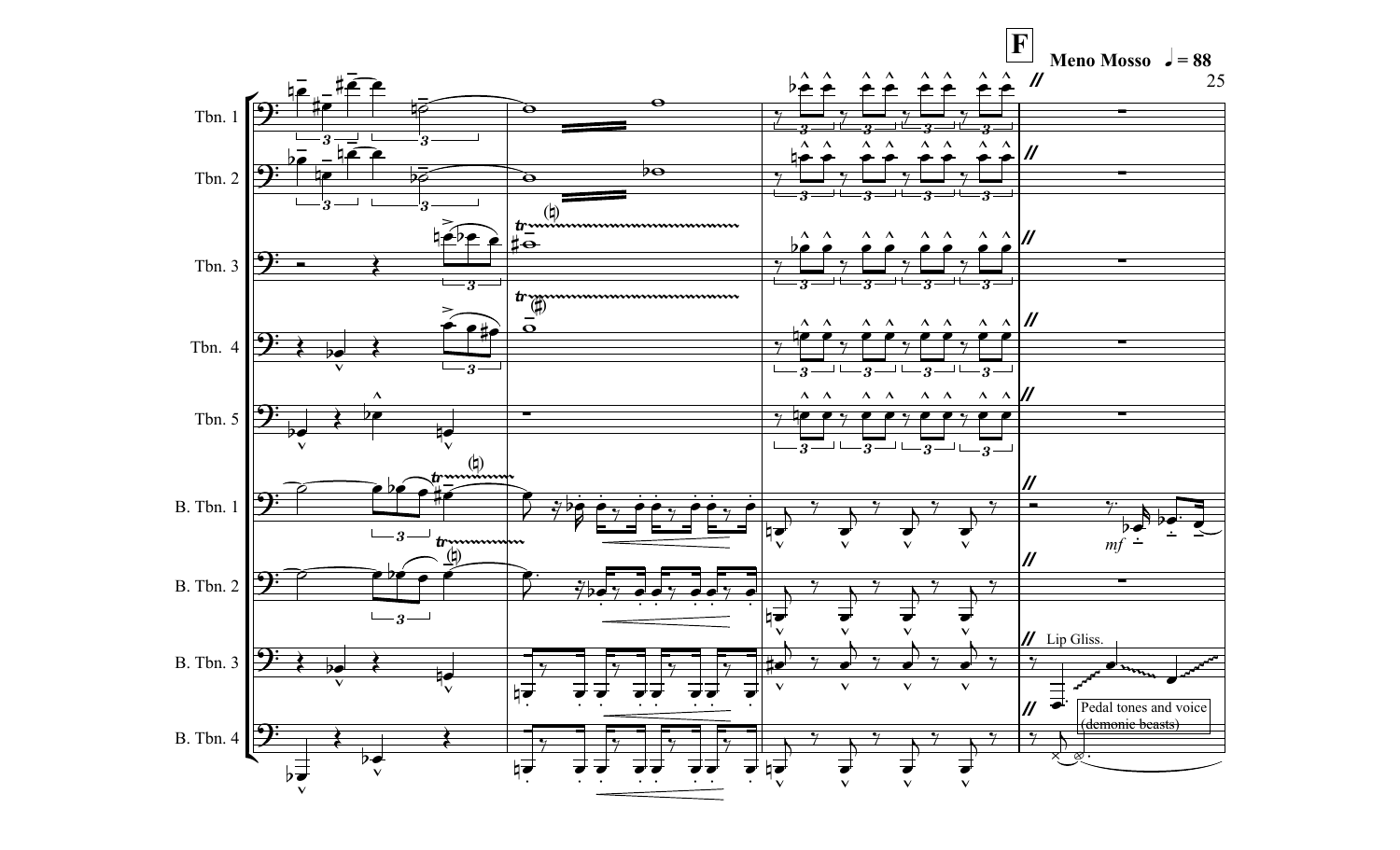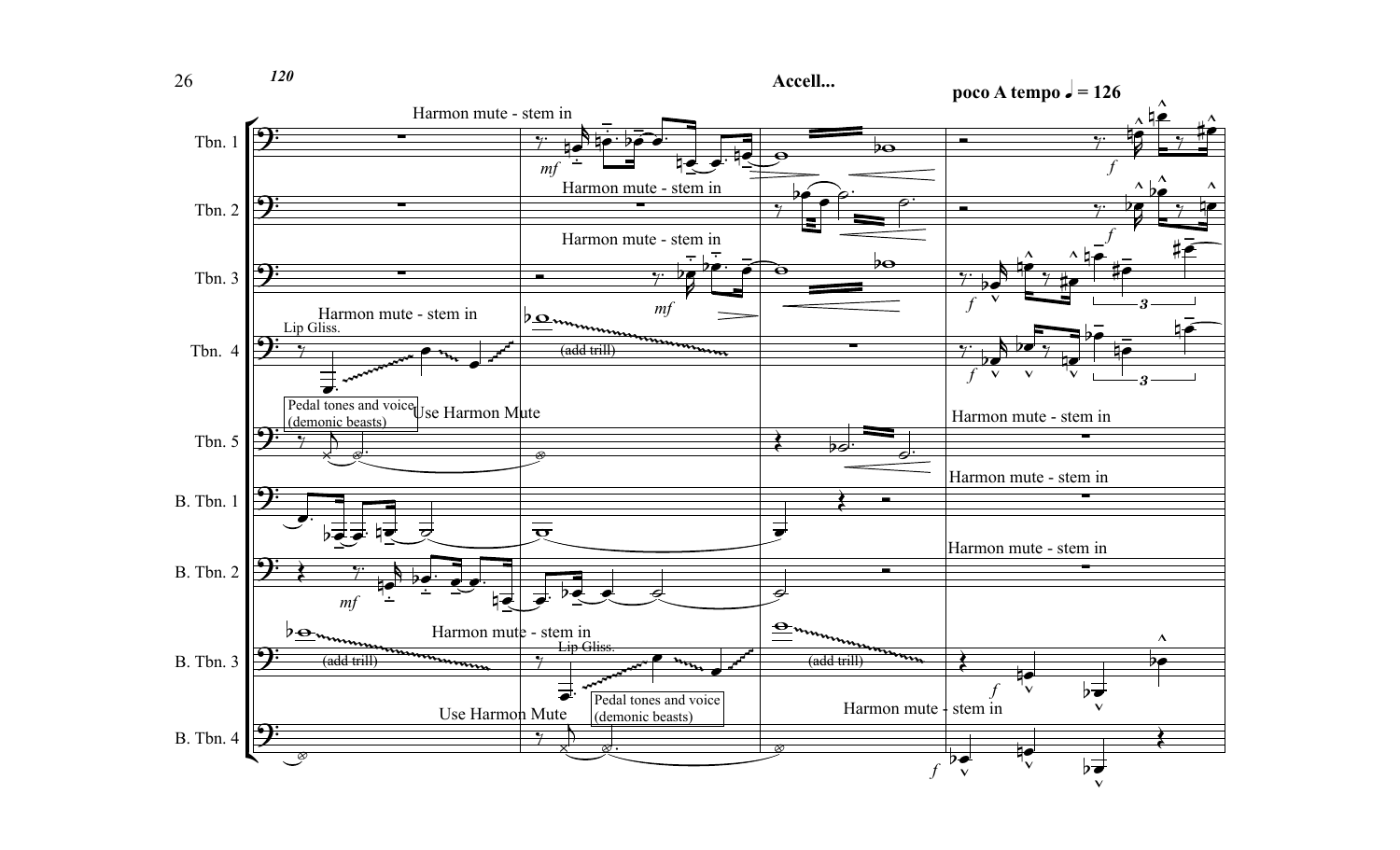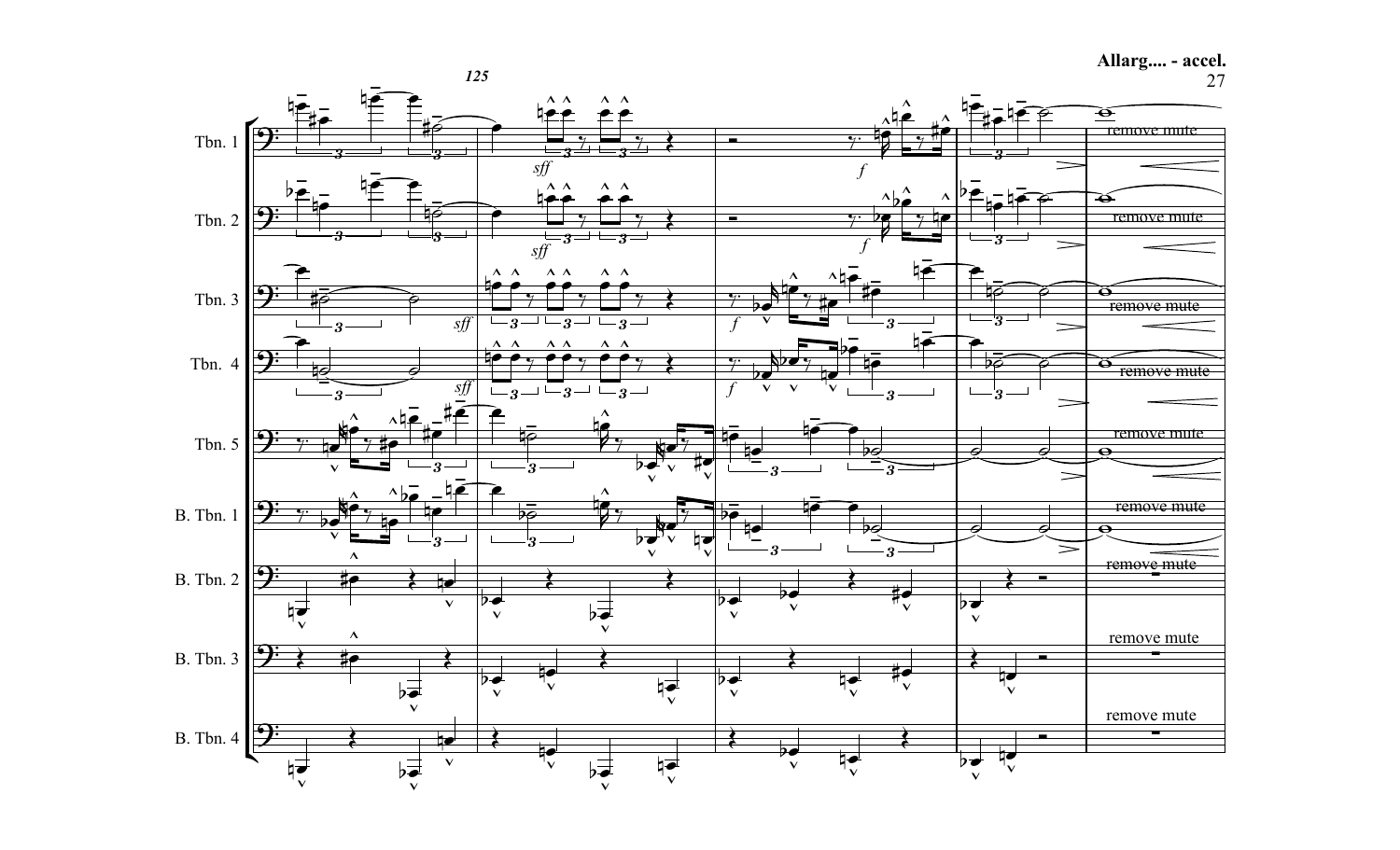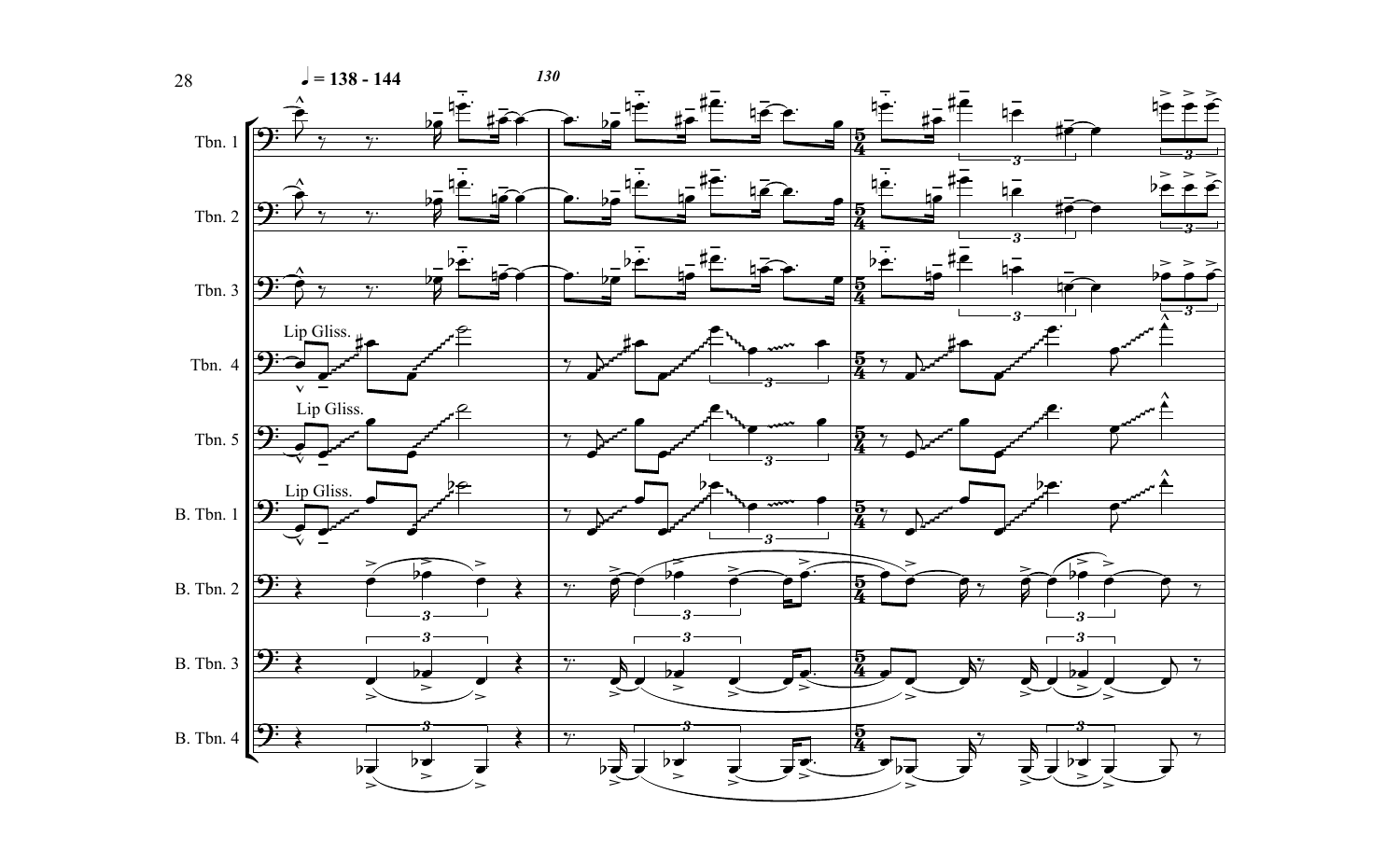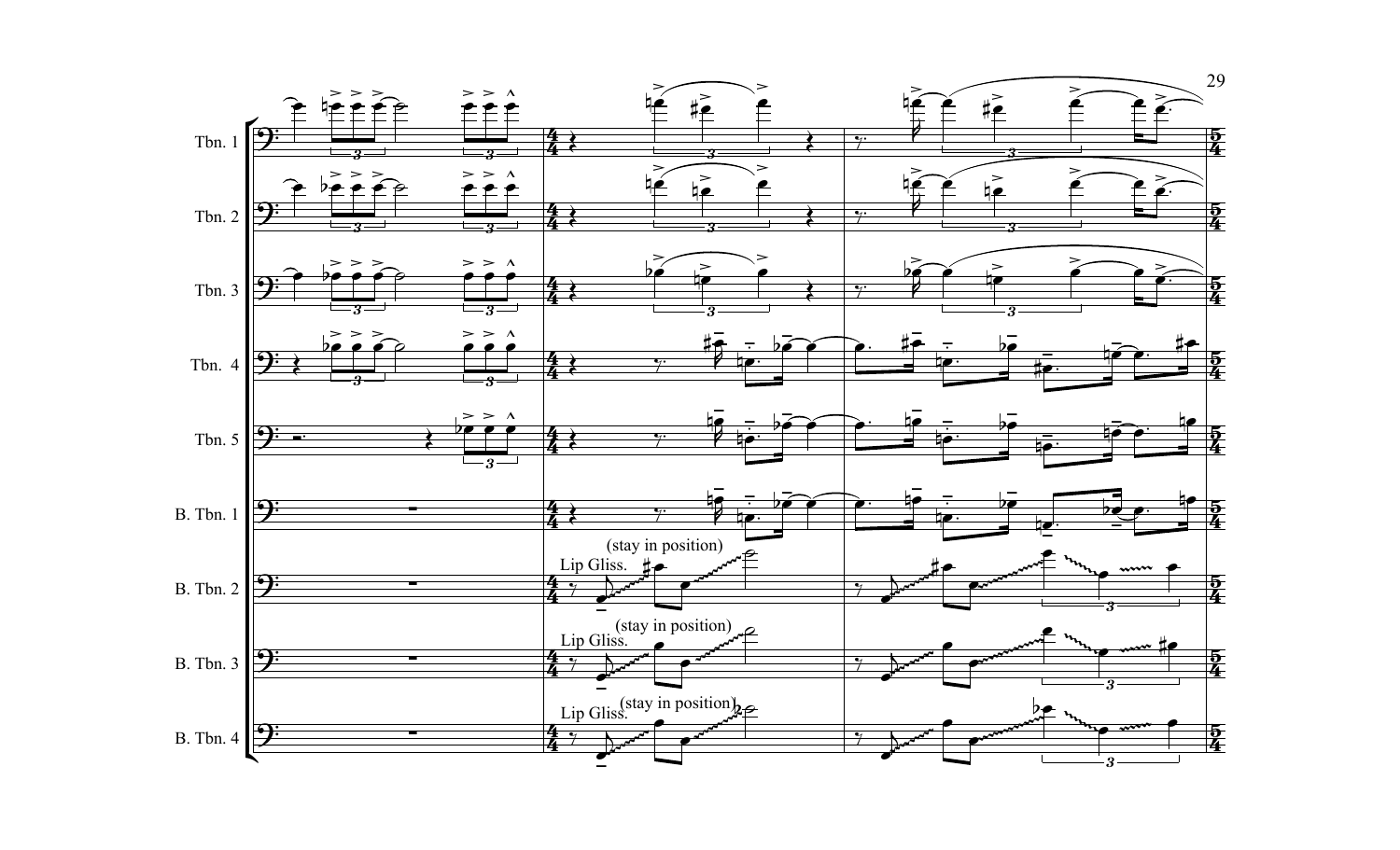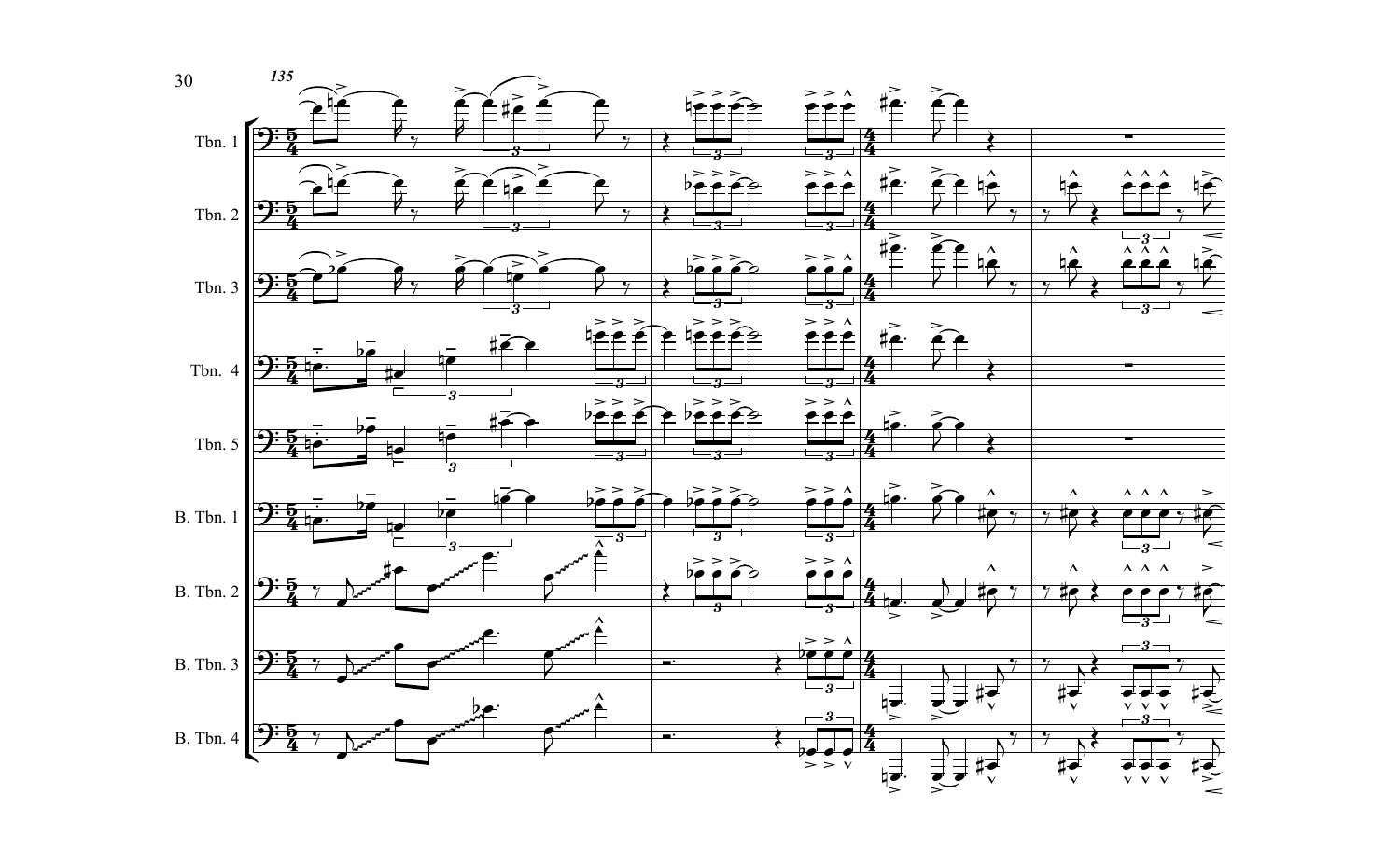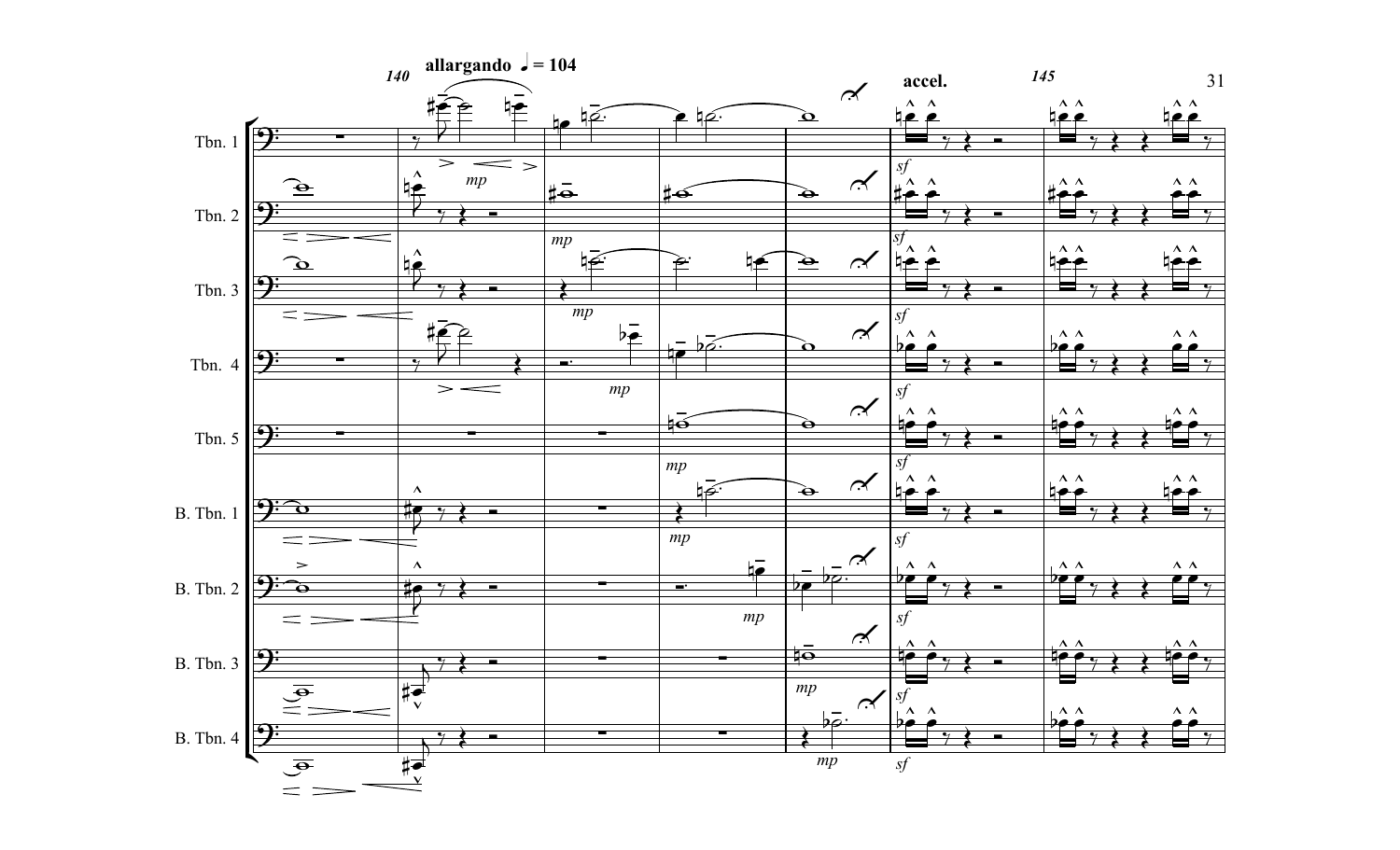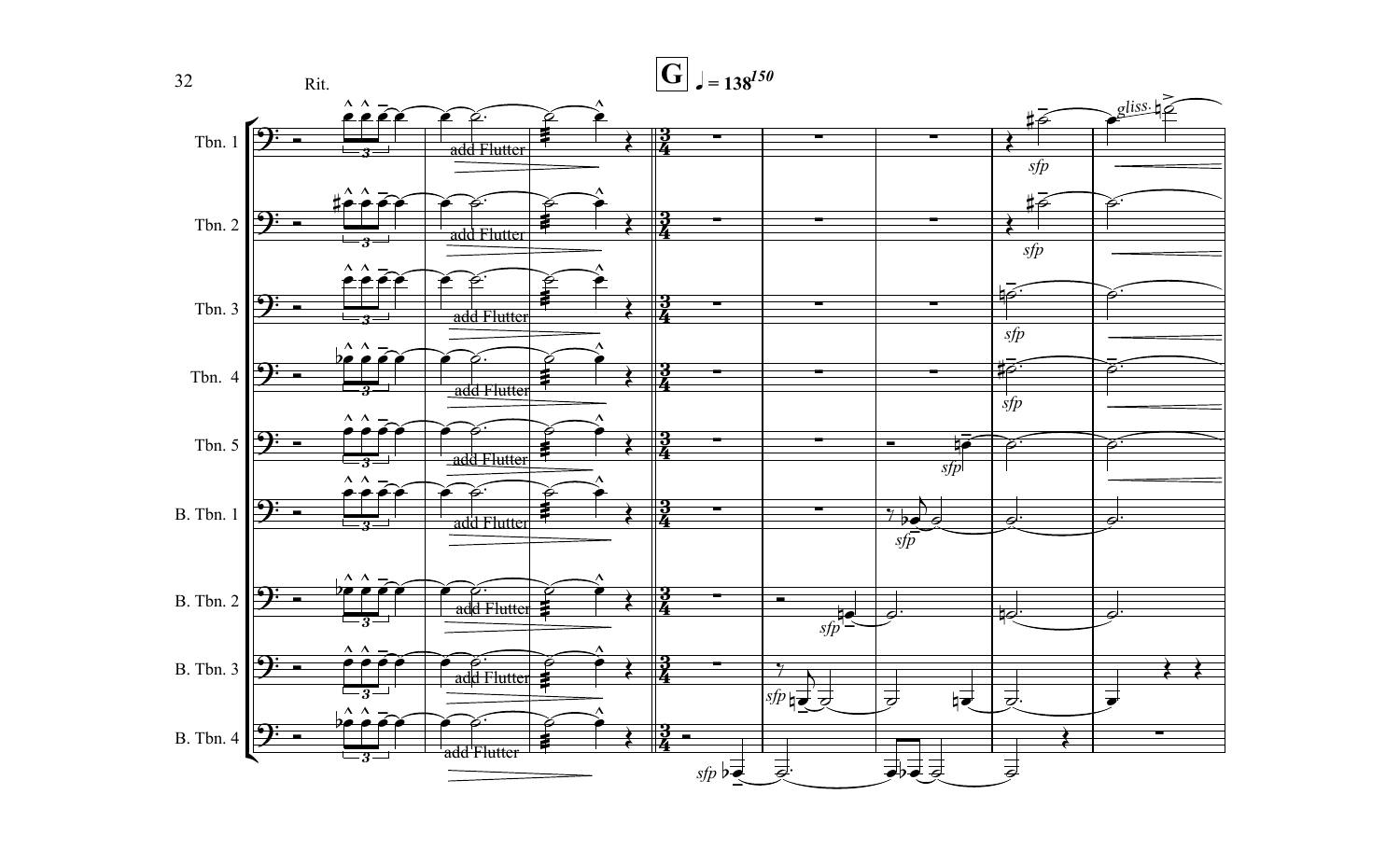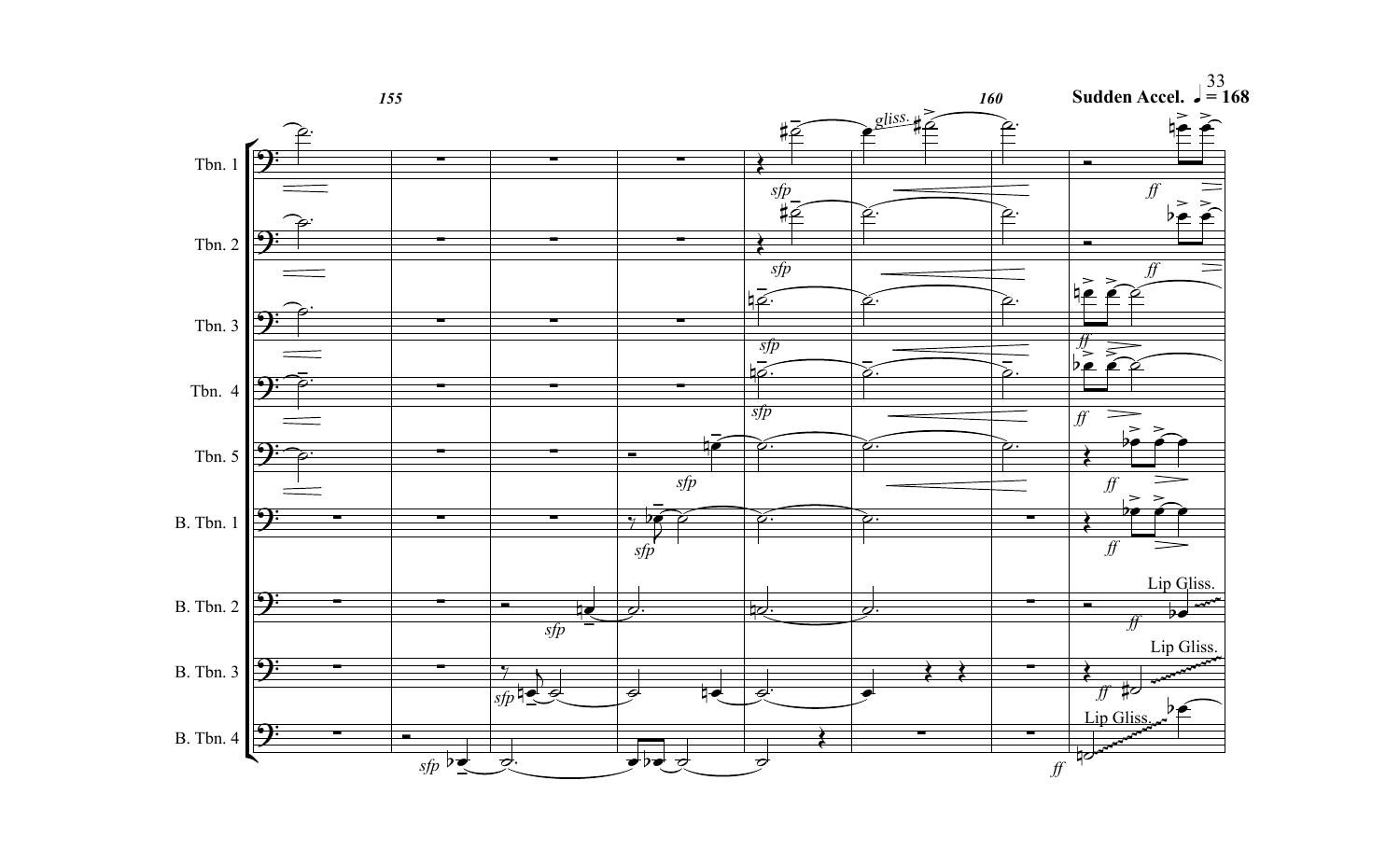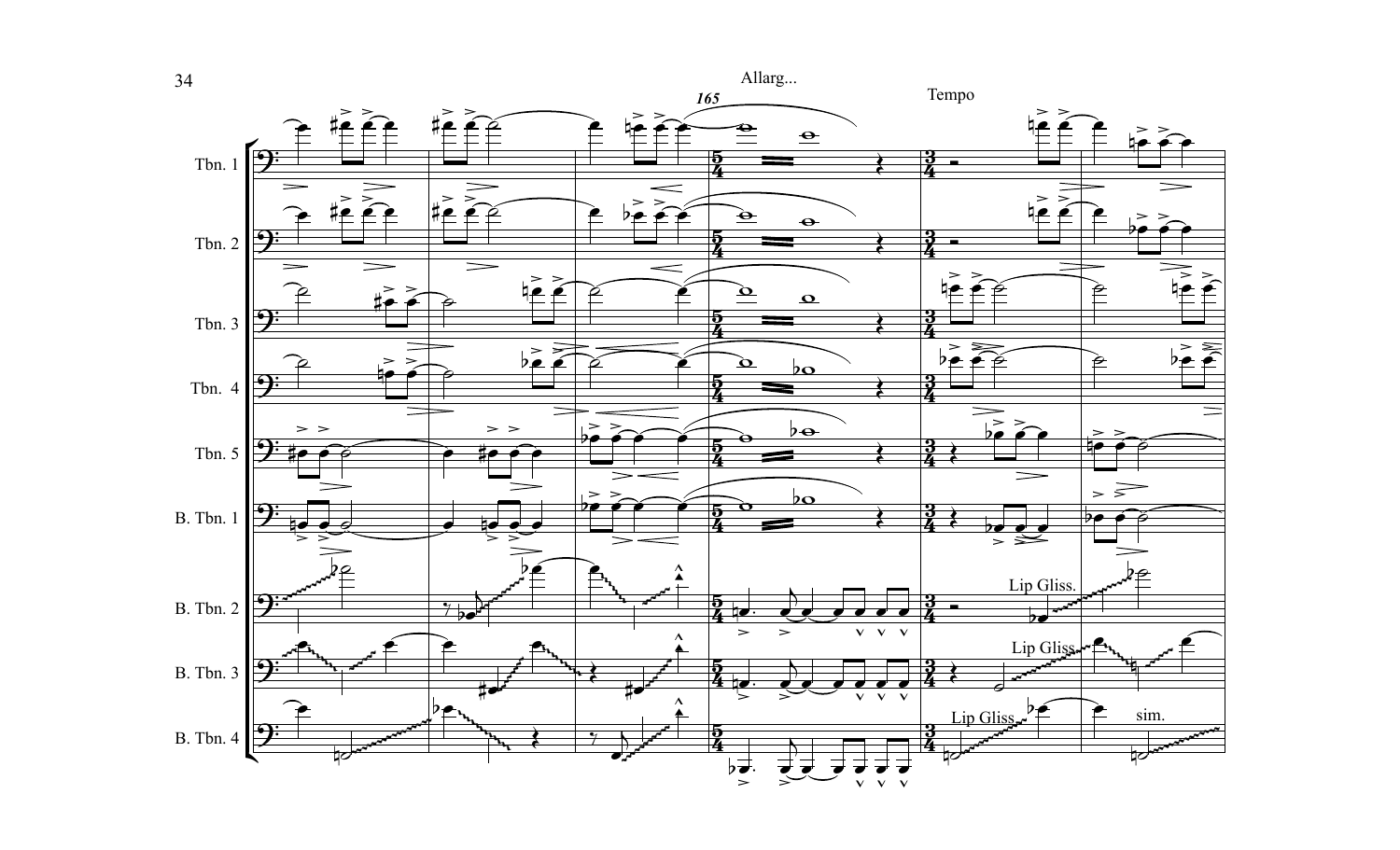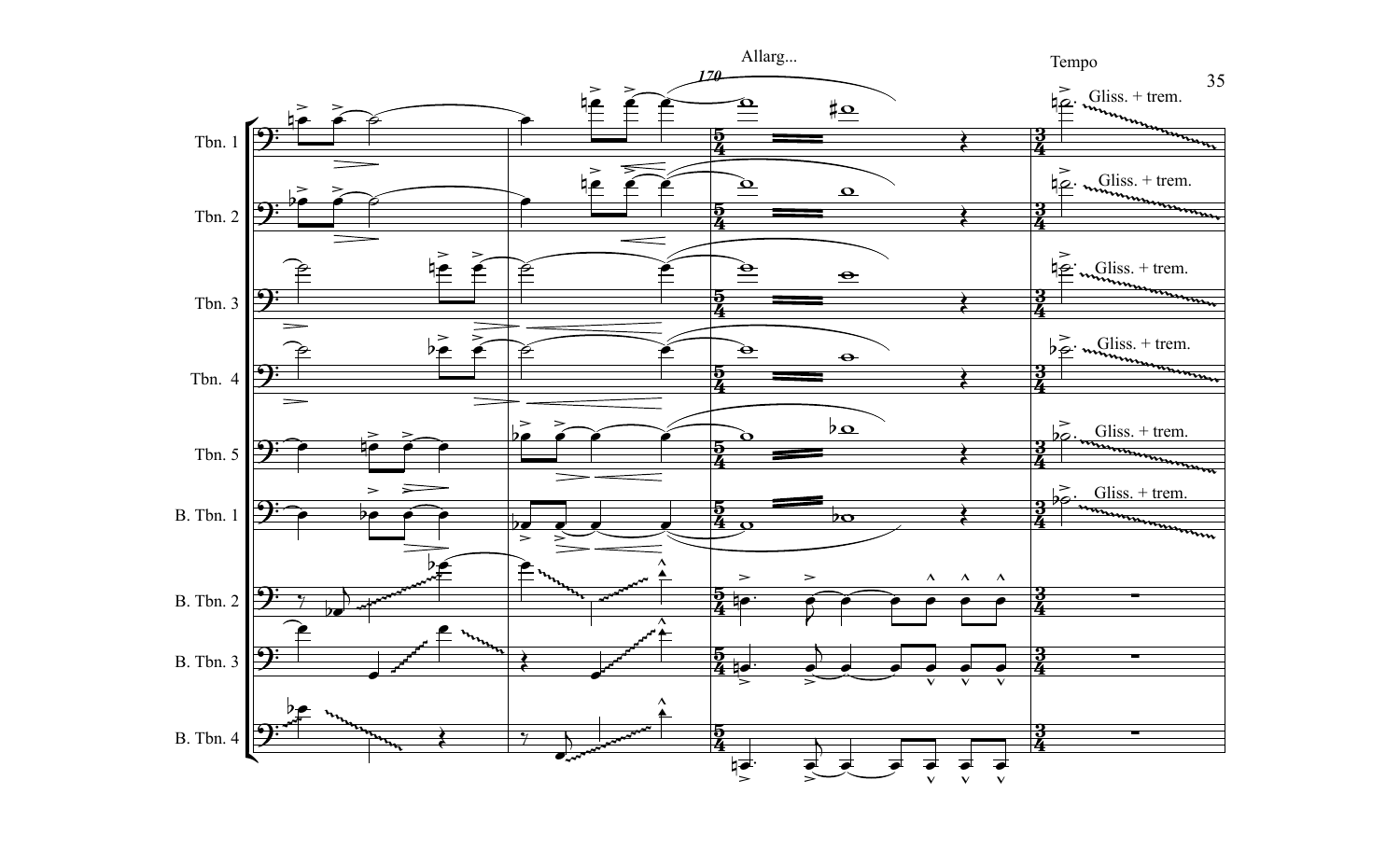